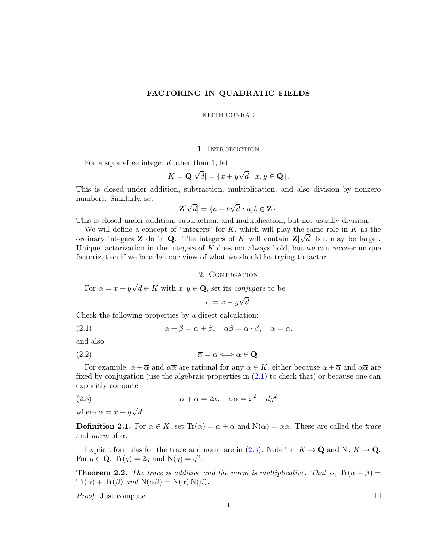## FACTORING IN QUADRATIC FIELDS

#### KEITH CONRAD

### 1. INTRODUCTION

For a squarefree integer  $d$  other than 1, let

$$
K = \mathbf{Q}[\sqrt{d}] = \{x + y\sqrt{d} : x, y \in \mathbf{Q}\}.
$$

This is closed under addition, subtraction, multiplication, and also division by nonzero numbers. Similarly, set √ √

$$
\mathbf{Z}[\sqrt{d}] = \{a + b\sqrt{d} : a, b \in \mathbf{Z}\}.
$$

This is closed under addition, subtraction, and multiplication, but not usually division.

We will define a concept of "integers" for K, which will play the same role in K as the ordinary integers **Z** do in **Q**. The integers of K will contain  $\mathbf{Z}[\sqrt{d}]$  but may be larger. Unique factorization in the integers of  $K$  does not always hold, but we can recover unique factorization if we broaden our view of what we should be trying to factor.

### 2. Conjugation

For 
$$
\alpha = x + y\sqrt{d} \in K
$$
 with  $x, y \in \mathbf{Q}$ , set its *conjugate* to be

<span id="page-0-1"></span><span id="page-0-0"></span> $\overline{\alpha} = x - y$ d.

Check the following properties by a direct calculation:

(2.1) 
$$
\overline{\alpha + \beta} = \overline{\alpha} + \overline{\beta}, \quad \overline{\alpha\beta} = \overline{\alpha} \cdot \overline{\beta}, \quad \overline{\overline{\alpha}} = \alpha,
$$

and also

$$
\overline{\alpha} = \alpha \Longleftrightarrow \alpha \in \mathbf{Q}.
$$

For example,  $\alpha + \overline{\alpha}$  and  $\alpha \overline{\alpha}$  are rational for any  $\alpha \in K$ , either because  $\alpha + \overline{\alpha}$  and  $\alpha \overline{\alpha}$  are fixed by conjugation (use the algebraic properties in [\(2.1\)](#page-0-0) to check that) or because one can explicitly compute

(2.3) 
$$
\alpha + \overline{\alpha} = 2x, \quad \alpha \overline{\alpha} = x^2 - dy^2
$$

where  $\alpha = x + y$ √ d.

**Definition 2.1.** For  $\alpha \in K$ , set  $\text{Tr}(\alpha) = \alpha + \overline{\alpha}$  and  $\text{N}(\alpha) = \alpha\overline{\alpha}$ . These are called the trace and *norm* of  $\alpha$ .

Explicit formulas for the trace and norm are in [\(2.3\)](#page-0-1). Note Tr:  $K \to \mathbf{Q}$  and N:  $K \to \mathbf{Q}$ . For  $q \in \mathbf{Q}$ ,  $\text{Tr}(q) = 2q$  and  $\text{N}(q) = q^2$ .

**Theorem 2.2.** The trace is additive and the norm is multiplicative. That is,  $Tr(\alpha + \beta) =$  $Tr(\alpha) + Tr(\beta)$  and  $N(\alpha\beta) = N(\alpha) N(\beta)$ .

Proof. Just compute.

$$
\qquad \qquad \Box
$$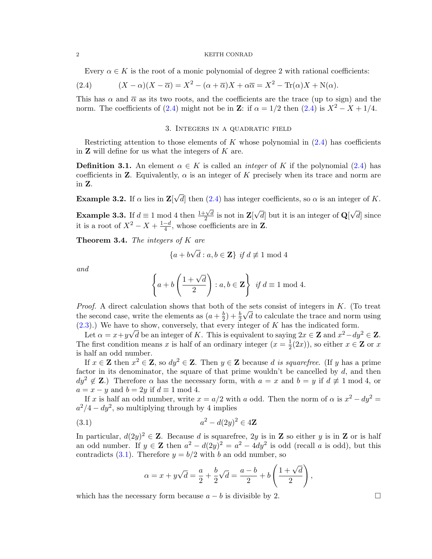<span id="page-1-0"></span>Every  $\alpha \in K$  is the root of a monic polynomial of degree 2 with rational coefficients:

(2.4) 
$$
(X - \alpha)(X - \overline{\alpha}) = X^2 - (\alpha + \overline{\alpha})X + \alpha \overline{\alpha} = X^2 - \text{Tr}(\alpha)X + \text{N}(\alpha).
$$

This has  $\alpha$  and  $\overline{\alpha}$  as its two roots, and the coefficients are the trace (up to sign) and the norm. The coefficients of [\(2.4\)](#page-1-0) might not be in Z: if  $\alpha = 1/2$  then (2.4) is  $X^2 - X + 1/4$ .

### 3. Integers in a quadratic field

Restricting attention to those elements of K whose polynomial in  $(2.4)$  has coefficients in  $Z$  will define for us what the integers of  $K$  are.

<span id="page-1-2"></span>**Definition 3.1.** An element  $\alpha \in K$  is called an *integer* of K if the polynomial [\(2.4\)](#page-1-0) has coefficients in **Z**. Equivalently,  $\alpha$  is an integer of K precisely when its trace and norm are in Z.

Example 3.2. If  $\alpha$  lies in Z √ d then  $(2.4)$  has integer coefficients, so  $\alpha$  is an integer of K.

**Example 3.3.** If  $d \equiv 1 \mod 4$  then  $\frac{1+\sqrt{d}}{2}$  $\frac{1}{2} \sqrt{d}$  is not in  $\mathbf{Z}$ [ √ d but it is an integer of  $\mathbf{Q}$ √  $d$  since it is a root of  $X^2 - X + \frac{1-d}{4}$  $\frac{-d}{4}$ , whose coefficients are in **Z**.

<span id="page-1-3"></span>**Theorem 3.4.** The integers of  $K$  are

$$
\{a+b\sqrt{d} : a,b \in \mathbf{Z}\} \text{ if } d \not\equiv 1 \text{ mod } 4
$$

and

$$
\left\{ a+b\left(\frac{1+\sqrt{d}}{2}\right) : a,b \in \mathbf{Z} \right\} \text{ if } d \equiv 1 \bmod 4.
$$

*Proof.* A direct calculation shows that both of the sets consist of integers in K. (To treat the second case, write the elements as  $(a + \frac{b}{2})$  $\frac{b}{2}$ ) +  $\frac{b}{2}\sqrt{d}$  to calculate the trace and norm using  $(2.3)$ .) We have to show, conversely, that every integer of K has the indicated form.

Let  $\alpha = x + y\sqrt{d}$  be an integer of K. This is equivalent to saying  $2x \in \mathbb{Z}$  and  $x^2 - dy^2 \in \mathbb{Z}$ . The first condition means x is half of an ordinary integer  $(x=\frac{1}{2})$  $\frac{1}{2}(2x)$ , so either  $x \in \mathbf{Z}$  or  $x$ is half an odd number.

If  $x \in \mathbb{Z}$  then  $x^2 \in \mathbb{Z}$ , so  $dy^2 \in \mathbb{Z}$ . Then  $y \in \mathbb{Z}$  because d is squarefree. (If y has a prime factor in its denominator, the square of that prime wouldn't be cancelled by  $d$ , and then  $dy^2 \notin \mathbf{Z}$ .) Therefore  $\alpha$  has the necessary form, with  $a = x$  and  $b = y$  if  $d \not\equiv 1 \mod 4$ , or  $a = x - y$  and  $b = 2y$  if  $d \equiv 1 \mod 4$ .

If x is half an odd number, write  $x = a/2$  with a odd. Then the norm of  $\alpha$  is  $x^2 - dy^2 =$  $a^2/4 - dy^2$ , so multiplying through by 4 implies

(3.1) 
$$
a^2 - d(2y)^2 \in 4\mathbb{Z}
$$

In particular,  $d(2y)^2 \in \mathbb{Z}$ . Because d is squarefree,  $2y$  is in  $\mathbb{Z}$  so either y is in  $\mathbb{Z}$  or is half an odd number. If  $y \in \mathbb{Z}$  then  $a^2 - d(2y)^2 = a^2 - 4dy^2$  is odd (recall a is odd), but this contradicts [\(3.1\)](#page-1-1). Therefore  $y = b/2$  with b an odd number, so

<span id="page-1-1"></span>
$$
\alpha = x + y\sqrt{d} = \frac{a}{2} + \frac{b}{2}\sqrt{d} = \frac{a-b}{2} + b\left(\frac{1+\sqrt{d}}{2}\right),
$$

which has the necessary form because  $a - b$  is divisible by 2.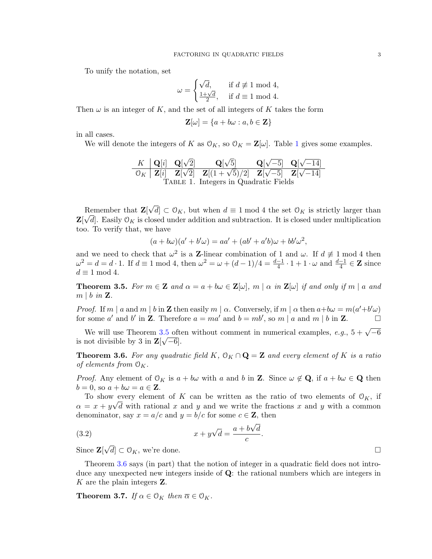To unify the notation, set

$$
\omega = \begin{cases} \sqrt{d}, & \text{if } d \not\equiv 1 \bmod 4, \\ \frac{1+\sqrt{d}}{2}, & \text{if } d \equiv 1 \bmod 4. \end{cases}
$$

Then  $\omega$  is an integer of K, and the set of all integers of K takes the form

<span id="page-2-0"></span>
$$
\mathbf{Z}[\omega] = \{a + b\omega : a, b \in \mathbf{Z}\}
$$

in all cases.

We will denote the integers of K as  $\mathcal{O}_K$ , so  $\mathcal{O}_K = \mathbb{Z}[\omega]$ . Table [1](#page-2-0) gives some examples.

K 
$$
Q[i]
$$
  $Q[\sqrt{2}]$   $Q[\sqrt{5}]$   $Q[\sqrt{-5}]$   $Q[\sqrt{-14}]$   
\n $O_K$   $Z[i]$   $Z[\sqrt{2}]$   $Z[(1+\sqrt{5})/2]$   $Z[\sqrt{-5}]$   $Z[\sqrt{-14}]$   
\nTABLE 1. Integers in Quadratic Fields

Remember that **Z**[ √ Remember that  $\mathbf{Z}[\sqrt{d}] \subset \mathcal{O}_K$ , but when  $d \equiv 1 \mod 4$  the set  $\mathcal{O}_K$  is strictly larger than  $\mathbf{Z}[\sqrt{d}]$ . Easily  $\mathcal{O}_K$  is closed under addition and subtraction. It is closed under multiplication too. To verify that, we have

$$
(a + b\omega)(a' + b'\omega) = aa' + (ab' + a'b)\omega + bb'\omega^{2},
$$

and we need to check that  $\omega^2$  is a **Z**-linear combination of 1 and  $\omega$ . If  $d \neq 1$  mod 4 then  $\omega^2 = d = d \cdot 1$ . If  $d \equiv 1 \mod 4$ , then  $\omega^2 = \omega + (d-1)/4 = \frac{d-1}{4} \cdot 1 + 1 \cdot \omega$  and  $\frac{d-1}{4} \in \mathbb{Z}$  since  $d \equiv 1 \bmod 4.$ 

<span id="page-2-1"></span>**Theorem 3.5.** For  $m \in \mathbb{Z}$  and  $\alpha = a + b\omega \in \mathbb{Z}[\omega], m \mid \alpha$  in  $\mathbb{Z}[\omega]$  if and only if  $m \mid a$  and  $m \mid b \text{ in } \mathbf{Z}$ .

*Proof.* If m | a and m | b in **Z** then easily m |  $\alpha$ . Conversely, if m |  $\alpha$  then  $a+b\omega = m(a'+b'\omega)$ for some a' and b' in **Z**. Therefore  $a = ma'$  and  $b = mb'$ , so  $m | a$  and  $m | b$  in **Z**.

We will use Theorem [3.5](#page-2-1) often without comment in numerical examples,  $e.g., 5 + \sqrt{-6}$ is not divisible by 3 in  $\mathbf{Z}[\sqrt{-6}]$ .

<span id="page-2-2"></span>**Theorem 3.6.** For any quadratic field K,  $\mathcal{O}_K \cap \mathbf{Q} = \mathbf{Z}$  and every element of K is a ratio of elements from  $\mathcal{O}_K$ .

*Proof.* Any element of  $O_K$  is  $a + b\omega$  with a and b in **Z**. Since  $\omega \notin \mathbf{Q}$ , if  $a + b\omega \in \mathbf{Q}$  then  $b = 0$ , so  $a + b\omega = a \in \mathbf{Z}$ .

To show every element of K can be written as the ratio of two elements of  $\mathcal{O}_K$ , if  $\alpha = x + y\sqrt{d}$  with rational x and y and we write the fractions x and y with a common denominator, say  $x = a/c$  and  $y = b/c$  for some  $c \in \mathbb{Z}$ , then

(3.2) 
$$
x + y\sqrt{d} = \frac{a + b\sqrt{d}}{c}.
$$

Since **Z**[  $\sqrt{d}$   $\subset \mathcal{O}_K$ , we're done.

Theorem [3.6](#page-2-2) says (in part) that the notion of integer in a quadratic field does not introduce any unexpected new integers inside of Q: the rational numbers which are integers in K are the plain integers Z.

<span id="page-2-3"></span>**Theorem 3.7.** If  $\alpha \in \mathcal{O}_K$  then  $\overline{\alpha} \in \mathcal{O}_K$ .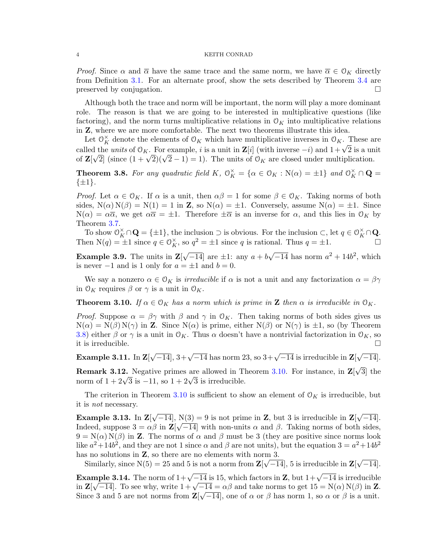*Proof.* Since  $\alpha$  and  $\overline{\alpha}$  have the same trace and the same norm, we have  $\overline{\alpha} \in \mathcal{O}_K$  directly from Definition [3.1.](#page-1-2) For an alternate proof, show the sets described by Theorem [3.4](#page-1-3) are preserved by conjugation.

Although both the trace and norm will be important, the norm will play a more dominant role. The reason is that we are going to be interested in multiplicative questions (like factoring), and the norm turns multiplicative relations in  $\mathcal{O}_K$  into multiplicative relations in Z, where we are more comfortable. The next two theorems illustrate this idea.

Let  $\mathcal{O}_K^{\times}$  denote the elements of  $\mathcal{O}_K$  which have multiplicative inverses in  $\mathcal{O}_K$ . These are Let  $\bigcirc_K$  denote the elements of  $\bigcirc_K$  which have inditiplicative inverses in  $\bigcirc_K$ . These are called the *units* of  $\bigcirc_K$ . For example, *i* is a unit in **Z**[*i*] (with inverse  $-i$ ) and  $1+\sqrt{2}$  is a unit called the *units* of  $O_K$ . For example, t is a unit in  $\mathbb{Z}[t]$  (with inverse  $-t$ ) and  $1+\sqrt{2}$  is a unit of  $\mathbb{Z}[\sqrt{2}]$  (since  $(1+\sqrt{2})(\sqrt{2}-1)=1$ ). The units of  $\mathcal{O}_K$  are closed under multiplication.

<span id="page-3-0"></span>**Theorem 3.8.** For any quadratic field K,  $\mathcal{O}_K^{\times} = {\alpha \in \mathcal{O}_K : N(\alpha) = \pm 1}$  and  $\mathcal{O}_K^{\times} \cap \mathbf{Q} =$  $\{\pm 1\}.$ 

*Proof.* Let  $\alpha \in \mathcal{O}_K$ . If  $\alpha$  is a unit, then  $\alpha\beta = 1$  for some  $\beta \in \mathcal{O}_K$ . Taking norms of both sides,  $N(\alpha) N(\beta) = N(1) = 1$  in **Z**, so  $N(\alpha) = \pm 1$ . Conversely, assume  $N(\alpha) = \pm 1$ . Since  $N(\alpha) = \alpha \overline{\alpha}$ , we get  $\alpha \overline{\alpha} = \pm 1$ . Therefore  $\pm \overline{\alpha}$  is an inverse for  $\alpha$ , and this lies in  $\mathcal{O}_K$  by Theorem [3.7.](#page-2-3)

To show  $\mathcal{O}_K^{\times} \cap \mathbf{Q} = {\{\pm 1\}}$ , the inclusion  $\supset$  is obvious. For the inclusion  $\subset$ , let  $q \in \mathcal{O}_K^{\times} \cap \mathbf{Q}$ . Then  $N(q) = \pm 1$  since  $q \in \mathcal{O}_K^{\times}$ , so  $q^2 = \pm 1$  since q is rational. Thus  $q = \pm 1$ .

**Example 3.9.** The units in  $\mathbf{Z}$ √  $-14$ ] are  $\pm 1$ : any  $a + b$ √  $\overline{-14}$  has norm  $a^2 + 14b^2$ , which is never  $-1$  and is 1 only for  $a = \pm 1$  and  $b = 0$ .

We say a nonzero  $\alpha \in \mathcal{O}_K$  is *irreducible* if  $\alpha$  is not a unit and any factorization  $\alpha = \beta \gamma$ in  $\mathcal{O}_K$  requires  $\beta$  or  $\gamma$  is a unit in  $\mathcal{O}_K$ .

<span id="page-3-1"></span>**Theorem 3.10.** If  $\alpha \in \mathcal{O}_K$  has a norm which is prime in **Z** then  $\alpha$  is irreducible in  $\mathcal{O}_K$ .

*Proof.* Suppose  $\alpha = \beta \gamma$  with  $\beta$  and  $\gamma$  in  $\mathcal{O}_K$ . Then taking norms of both sides gives us  $N(\alpha) = N(\beta) N(\gamma)$  in **Z**. Since  $N(\alpha)$  is prime, either  $N(\beta)$  or  $N(\gamma)$  is  $\pm 1$ , so (by Theorem [3.8\)](#page-3-0) either  $\beta$  or  $\gamma$  is a unit in  $\mathcal{O}_K$ . Thus  $\alpha$  doesn't have a nontrivial factorization in  $\mathcal{O}_K$ , so it is irreducible.  $\Box$ 

Example 3.11. In  $\mathbf{Z}$  $\sqrt{-14}$ ,  $3+\sqrt{-14}$  has norm 23, so  $3+\sqrt{-14}$  is irreducible in  $\mathbf{Z}$ √  $\overline{-14}$ ].

**Remark 3.12.** Negative primes are allowed in Theorem [3.10.](#page-3-1) For instance, in  $\mathbf{Z}$ √ 3] the **REMARK 3.12.** Negative primes are allowed in 1 norm of  $1 + 2\sqrt{3}$  is  $-11$ , so  $1 + 2\sqrt{3}$  is irreducible.

The criterion in Theorem [3.10](#page-3-1) is sufficient to show an element of  $\mathcal{O}_K$  is irreducible, but it is not necessary.

<span id="page-3-2"></span>Example 3.13. In Z[ √  $[-14]$ , N(3) = 9 is not prime in **Z**, but 3 is irreducible in **Z**[ √  $N(3) = 9$  is not prime in **Z**, but 3 is irreducible in **Z**[ $\sqrt{-14}$ ]. Indeed, suppose  $3 = \alpha \beta$  in  $\mathbb{Z}[\sqrt{-14}]$  with non-units  $\alpha$  and  $\beta$ . Taking norms of both sides,  $9 = N(\alpha) N(\beta)$  in Z. The norms of  $\alpha$  and  $\beta$  must be 3 (they are positive since norms look like  $a^2 + 14b^2$ , and they are not 1 since  $\alpha$  and  $\beta$  are not units), but the equation  $3 = a^2 + 14b^2$ has no solutions in  $\mathbf{Z}$ , so there are no elements with norm 3. √

Similarly, since  $N(5) = 25$  and 5 is not a norm from  $\mathbf{Z}[\sqrt{-14}]$ , 5 is irreducible in  $\mathbf{Z}[\sqrt{-14}]$  $-14$ ].

<span id="page-3-3"></span>Example 3.14. The norm of  $1+\sqrt{-14}$  is 15, which factors in Z, but  $1+\sqrt{-14}$  is irreducible **Example 3.14.** The norm of  $1+\sqrt{-14}$  is 15, which factors in **Z**, but  $1+\sqrt{-14}$  is irreduction<br>in  $\mathbf{Z}[\sqrt{-14}]$ . To see why, write  $1+\sqrt{-14} = \alpha\beta$  and take norms to get  $15 = N(\alpha) N(\beta)$  in **Z**. Since 3 and 5 are not norms from  $\mathbf{Z}[\sqrt{-14}]$ , one of  $\alpha$  or  $\beta$  has norm 1, so  $\alpha$  or  $\beta$  is a unit.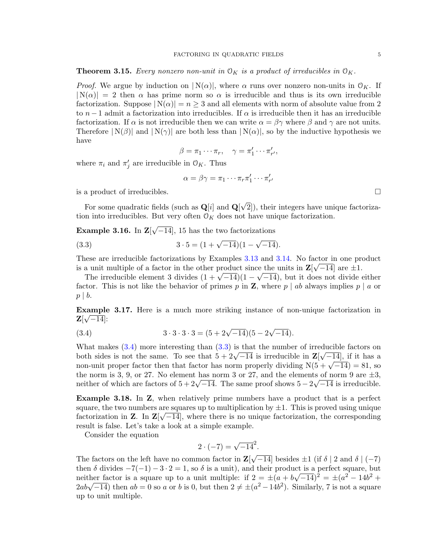### <span id="page-4-4"></span>**Theorem 3.15.** Every nonzero non-unit in  $\mathcal{O}_K$  is a product of irreducibles in  $\mathcal{O}_K$ .

*Proof.* We argue by induction on  $|N(\alpha)|$ , where  $\alpha$  runs over nonzero non-units in  $\mathcal{O}_K$ . If  $|N(\alpha)| = 2$  then  $\alpha$  has prime norm so  $\alpha$  is irreducible and thus is its own irreducible factorization. Suppose  $|N(\alpha)| = n \geq 3$  and all elements with norm of absolute value from 2 to  $n-1$  admit a factorization into irreducibles. If  $\alpha$  is irreducible then it has an irreducible factorization. If  $\alpha$  is not irreducible then we can write  $\alpha = \beta \gamma$  where  $\beta$  and  $\gamma$  are not units. Therefore  $|N(\beta)|$  and  $|N(\gamma)|$  are both less than  $|N(\alpha)|$ , so by the inductive hypothesis we have

$$
\beta = \pi_1 \cdots \pi_r, \quad \gamma = \pi'_1 \cdots \pi'_{r'},
$$

where  $\pi_i$  and  $\pi'_j$  are irreducible in  $\mathcal{O}_K$ . Thus

<span id="page-4-1"></span>
$$
\alpha = \beta \gamma = \pi_1 \cdots \pi_r \pi'_1 \cdots \pi'_{r'}
$$

is a product of irreducibles.  $\Box$ 

For some quadratic fields (such as  $\mathbf{Q}[i]$  and  $\mathbf{Q}[i]$ √ 2]), their integers have unique factorization into irreducibles. But very often  $\mathcal{O}_K$  does not have unique factorization.

<span id="page-4-3"></span>Example 3.16. In Z[ √  $\overline{-14}$ , 15 has the two factorizations

(3.3) 
$$
3 \cdot 5 = (1 + \sqrt{-14})(1 - \sqrt{-14}).
$$

These are irreducible factorizations by Examples [3.13](#page-3-2) and [3.14.](#page-3-3) No factor in one product is a unit multiple of a factor in the other product since the units in  $\mathbb{Z}[\sqrt{-14}]$  are  $\pm 1$ .

a unit multiple of a factor in the other product since the units in  $\mathbb{Z}[\sqrt{-14}]$  are  $\pm 1$ .<br>The irreducible element 3 divides  $(1 + \sqrt{-14})(1 - \sqrt{-14})$ , but it does not divide either factor. This is not like the behavior of primes p in **Z**, where p | ab always implies p | a or  $p \mid b$ .

Example 3.17. Here is a much more striking instance of non-unique factorization in  $\mathbf{Z}[\sqrt{-14}]$ :

<span id="page-4-0"></span>(3.4) 
$$
3 \cdot 3 \cdot 3 \cdot 3 = (5 + 2\sqrt{-14})(5 - 2\sqrt{-14}).
$$

What makes  $(3.4)$  more interesting than  $(3.3)$  is that the number of irreducible factors on what makes (3.4) more interesting than (3.5) is that the number of irreducible lactors on<br>both sides is not the same. To see that  $5 + 2\sqrt{-14}$  is irreducible in  $\mathbb{Z}[\sqrt{-14}]$ , if it has a both sides is not the same. To see that  $3 + 2\sqrt{-14}$  is irreducible in  $\mathbb{Z}[\sqrt{-14}]$ , if it has a<br>non-unit proper factor then that factor has norm properly dividing  $N(5 + \sqrt{-14}) = 81$ , so the norm is 3, 9, or 27. No element has norm 3 or 27, and the elements of norm 9 are  $\pm 3$ , the norm is 3, 9, or 27. No element has norm 3 or 27, and the elements of norm 9 are  $\pm$ 3, neither of which are factors of  $5 + 2\sqrt{-14}$ . The same proof shows  $5 - 2\sqrt{-14}$  is irreducible.

<span id="page-4-2"></span>Example 3.18. In Z, when relatively prime numbers have a product that is a perfect square, the two numbers are squares up to multiplication by  $\pm 1$ . This is proved using unique factorization in **Z**. In  $\mathbb{Z}[\sqrt{-14}]$ , where there is no unique factorization, the corresponding result is false. Let's take a look at a simple example.

Consider the equation

$$
2 \cdot (-7) = \sqrt{-14}^2.
$$

The factors on the left have no common factor in  $\mathbf{Z}$  $\overline{-14}$  besides  $\pm 1$  (if  $\delta \mid 2$  and  $\delta \mid (-7)$ ) then  $\delta$  divides  $-7(-1) - 3 \cdot 2 = 1$ , so  $\delta$  is a unit), and their product is a perfect square, but neither factor is a square up to a unit multiple: if  $2 = \pm (a + b\sqrt{-14})^2 = \pm (a^2 - 14b^2 +$ mention is a square up to a unit multiple: if  $z = \pm (a + b\sqrt{-14}) = \pm (a - 14b + 2ab\sqrt{-14})$  then  $ab = 0$  so a or b is 0, but then  $2 \neq \pm (a^2 - 14b^2)$ . Similarly, 7 is not a square up to unit multiple.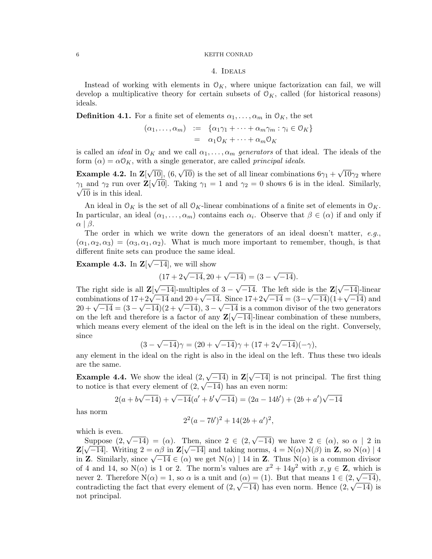#### 4. Ideals

<span id="page-5-1"></span>Instead of working with elements in  $\mathcal{O}_K$ , where unique factorization can fail, we will develop a multiplicative theory for certain subsets of  $\mathcal{O}_K$ , called (for historical reasons) ideals.

**Definition 4.1.** For a finite set of elements  $\alpha_1, \ldots, \alpha_m$  in  $\mathcal{O}_K$ , the set

$$
(\alpha_1, \ldots, \alpha_m) := \{ \alpha_1 \gamma_1 + \cdots + \alpha_m \gamma_m : \gamma_i \in \mathcal{O}_K \}
$$
  
=  $\alpha_1 \mathcal{O}_K + \cdots + \alpha_m \mathcal{O}_K$ 

is called an *ideal* in  $\mathcal{O}_K$  and we call  $\alpha_1, \ldots, \alpha_m$  generators of that ideal. The ideals of the form  $(\alpha) = \alpha \mathcal{O}_K$ , with a single generator, are called *principal ideals*.

Example 4.2. In  $\mathbf{Z}[\ ]$ √ 10], (6, √ 10) is the set of all linear combinations  $6\gamma_1 +$ √  $\sqrt{10}$ ,  $(6, \sqrt{10})$  is the set of all linear combinations  $6\gamma_1 + \sqrt{10}\gamma_2$  where  $\gamma_1$  and  $\gamma_2$  run over  $\mathbf{Z}[\sqrt{10}]$ . Taking  $\gamma_1 = 1$  and  $\gamma_2 = 0$  shows 6 is in the ideal. Similarly,  $\sqrt{10}$  is in this ideal.

An ideal in  $\mathcal{O}_K$  is the set of all  $\mathcal{O}_K$ -linear combinations of a finite set of elements in  $\mathcal{O}_K$ . In particular, an ideal  $(\alpha_1, \ldots, \alpha_m)$  contains each  $\alpha_i$ . Observe that  $\beta \in (\alpha)$  if and only if  $\alpha \mid \beta$ .

The order in which we write down the generators of an ideal doesn't matter,  $e.g.,$  $(\alpha_1, \alpha_2, \alpha_3) = (\alpha_3, \alpha_1, \alpha_2)$ . What is much more important to remember, though, is that different finite sets can produce the same ideal.

Example 4.3. In Z[ √  $\left[-14\right]$ , we will show

$$
(17 + 2\sqrt{-14}, 20 + \sqrt{-14}) = (3 - \sqrt{-14}).
$$

The right side is all Z[ √  $\overline{-14}$ -multiples of 3 –  $\overline{-14}$ . The left side is the Z[ √ is the  $\mathbb{Z}[\sqrt{-14}]$ -linear The right side is an  $\mathbb{Z}[\sqrt{-14}]$ -multiples of  $3 - \sqrt{-14}$ . The left side is the  $\mathbb{Z}[\sqrt{-14}]$ -inear<br>combinations of  $17+2\sqrt{-14}$  and  $20+\sqrt{-14}$ . Since  $17+2\sqrt{-14} = (3-\sqrt{-14})(1+\sqrt{-14})$  and combinations of  $17+2\sqrt{-14}$  and  $20+\sqrt{-14}$ . Since  $17+2\sqrt{-14} = (3-\sqrt{-14})(1+\sqrt{-14})$  and<br>  $20+\sqrt{-14} = (3-\sqrt{-14})(2+\sqrt{-14})$ ,  $3-\sqrt{-14}$  is a common divisor of the two generators on the left and therefore is a factor of any  $\mathbb{Z}[\sqrt{-14}]$ -linear combination of these numbers, which means every element of the ideal on the left is in the ideal on the right. Conversely, since √

$$
(3 - \sqrt{-14})\gamma = (20 + \sqrt{-14})\gamma + (17 + 2\sqrt{-14})(-\gamma),
$$

any element in the ideal on the right is also in the ideal on the left. Thus these two ideals are the same.

<span id="page-5-0"></span>**Example 4.4.** We show the ideal  $(2,$ √  $-14$ ) in Z[ √  $\mathbf{Z}[\sqrt{-14}]$  is not principal. The first thing to notice is that every element of  $(2, \sqrt{-14})$  has an even norm:

$$
2(a+b\sqrt{-14}) + \sqrt{-14}(a'+b'\sqrt{-14}) = (2a-14b') + (2b+a')\sqrt{-14}
$$

has norm

$$
22(a-7b')2 + 14(2b+a')2,
$$

which is even.

Suppose (2, √  $(-14) = (\alpha)$ . Then, since  $2 \in (2,$ √ Suppose  $(2, \sqrt{-14}) = (\alpha)$ . Then, since  $2 \in (2, \sqrt{-14})$  we have  $2 \in (\alpha)$ , so  $\alpha \mid 2$  in  $\mathbf{Z}[\sqrt{-14}]$ . Writing  $2 = \alpha\beta$  in  $\mathbf{Z}[\sqrt{-14}]$  and taking norms,  $4 = N(\alpha)N(\beta)$  in  $\mathbf{Z}$ , so  $N(\alpha) | 4$  $\mathbf{Z}[\sqrt{-14}]$ . Writing  $\mathbf{Z} = \alpha \beta \ln \mathbf{Z}[\sqrt{-14}]$  and taking norms,  $\mathbf{4} = \mathbb{N}(\alpha) \mathbb{N}(\beta) \ln \mathbf{Z}$ , so  $\mathbb{N}(\alpha) \mid \mathbf{4}$ <br>in  $\mathbf{Z}$ . Similarly, since  $\sqrt{-14} \in (\alpha)$  we get  $\mathbb{N}(\alpha) \mid 14$  in  $\mathbf{Z}$ . Thus  $\mathbb{$ of 4 and 14, so  $N(\alpha)$  is 1 or 2. The norm's values are  $x^2 + 14y^2$  with  $x, y \in \mathbb{Z}$ , which is never 2. Therefore  $N(\alpha) = 1$ , so  $\alpha$  is a unit and  $(\alpha) = (1)$ . But that means  $1 \in (2, \sqrt{-14})$ , contradicting the fact that every element of  $(2,\sqrt{-14})$  has even norm. Hence  $(2,\sqrt{-14})$  is not principal.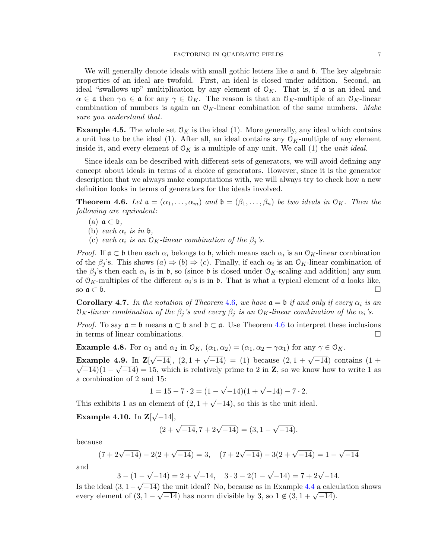We will generally denote ideals with small gothic letters like  $\alpha$  and  $\beta$ . The key algebraic properties of an ideal are twofold. First, an ideal is closed under addition. Second, an ideal "swallows up" multiplication by any element of  $\mathcal{O}_K$ . That is, if  $\mathfrak{a}$  is an ideal and  $\alpha \in \mathfrak{a}$  then  $\gamma \alpha \in \mathfrak{a}$  for any  $\gamma \in \mathcal{O}_K$ . The reason is that an  $\mathcal{O}_K$ -multiple of an  $\mathcal{O}_K$ -linear combination of numbers is again an  $\mathcal{O}_K$ -linear combination of the same numbers. Make sure you understand that.

**Example 4.5.** The whole set  $\mathcal{O}_K$  is the ideal (1). More generally, any ideal which contains a unit has to be the ideal (1). After all, an ideal contains any  $\mathcal{O}_K$ -multiple of any element inside it, and every element of  $\mathcal{O}_K$  is a multiple of any unit. We call (1) the *unit ideal*.

Since ideals can be described with different sets of generators, we will avoid defining any concept about ideals in terms of a choice of generators. However, since it is the generator description that we always make computations with, we will always try to check how a new definition looks in terms of generators for the ideals involved.

<span id="page-6-0"></span>**Theorem 4.6.** Let  $\mathfrak{a} = (\alpha_1, \ldots, \alpha_m)$  and  $\mathfrak{b} = (\beta_1, \ldots, \beta_n)$  be two ideals in  $\mathfrak{O}_K$ . Then the following are equivalent:

- (a)  $\mathfrak{a} \subset \mathfrak{b}$ ,
- (b) each  $\alpha_i$  is in b,
- (c) each  $\alpha_i$  is an  $\mathcal{O}_K$ -linear combination of the  $\beta_j$ 's.

*Proof.* If  $\mathfrak{a} \subset \mathfrak{b}$  then each  $\alpha_i$  belongs to  $\mathfrak{b}$ , which means each  $\alpha_i$  is an  $\mathfrak{O}_K$ -linear combination of the  $\beta_j$ 's. This shows  $(a) \Rightarrow (b) \Rightarrow (c)$ . Finally, if each  $\alpha_i$  is an  $\mathcal{O}_K$ -linear combination of the  $\beta_j$ 's then each  $\alpha_i$  is in b, so (since b is closed under  $\mathcal{O}_K$ -scaling and addition) any sum of  $\mathcal{O}_K$ -multiples of the different  $\alpha_i$ 's is in b. That is what a typical element of  $\mathfrak a$  looks like, so  $\mathfrak{a} \subset \mathfrak{b}$ .

<span id="page-6-1"></span>**Corollary [4](#page-6-0).7.** In the notation of Theorem 4.6, we have  $a = b$  if and only if every  $\alpha_i$  is an  $\mathcal{O}_K$ -linear combination of the  $\beta_i$ 's and every  $\beta_i$  is an  $\mathcal{O}_K$ -linear combination of the  $\alpha_i$ 's.

*Proof.* To say  $\mathfrak{a} = \mathfrak{b}$  means  $\mathfrak{a} \subset \mathfrak{b}$  and  $\mathfrak{b} \subset \mathfrak{a}$ . Use Theorem [4.6](#page-6-0) to interpret these inclusions in terms of linear combinations.

**Example 4.8.** For  $\alpha_1$  and  $\alpha_2$  in  $\mathcal{O}_K$ ,  $(\alpha_1, \alpha_2) = (\alpha_1, \alpha_2 + \gamma \alpha_1)$  for any  $\gamma \in \mathcal{O}_K$ .

Example 4.9. In Z[ Example 4.9. In  $\mathbf{Z}[\sqrt{-14}]$ ,  $(2, 1 + \sqrt{-14}) = (1)$  because  $(2, 1 + \sqrt{-14})$  contains  $(1 + \sqrt{-14})$  $\overline{-14}(1-\sqrt{-14})=15$ , which is relatively prime to 2 in **Z**, so we know how to write 1 as a combination of 2 and 15: √

$$
1 = 15 - 7 \cdot 2 = (1 - \sqrt{-14})(1 + \sqrt{-14}) - 7 \cdot 2.
$$

This exhibits 1 as an element of  $(2, 1 + \sqrt{-14})$ , so this is the unit ideal.

Example 4.10. In  $\mathbf{Z}$ √  $[-14]$ ,

$$
(2+\sqrt{-14}, 7+2\sqrt{-14}) = (3, 1-\sqrt{-14}).
$$

because

$$
(7+2\sqrt{-14}) - 2(2+\sqrt{-14}) = 3, \quad (7+2\sqrt{-14}) - 3(2+\sqrt{-14}) = 1 - \sqrt{-14}
$$

and

$$
3 - (1 - \sqrt{-14}) = 2 + \sqrt{-14}, \quad 3 \cdot 3 - 2(1 - \sqrt{-14}) = 7 + 2\sqrt{-14}.
$$

Is the ideal  $(3, 1−$  $\overline{-14}$ ) the unit ideal? No, because as in Example [4.4](#page-5-0) a calculation shows is the ideal  $(3, 1 - \sqrt{-14})$  the unit ideal! No, because as in example 4.4 a calculate every element of  $(3, 1 - \sqrt{-14})$  has norm divisible by 3, so  $1 \notin (3, 1 + \sqrt{-14})$ .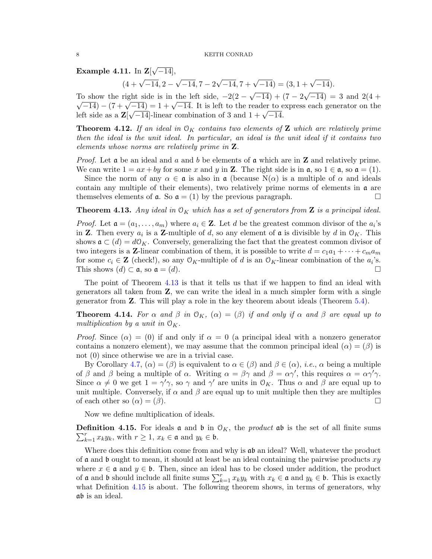Example 4.11. In  $\mathbf{Z}[\ ]$ √  $[-14]$ ,

$$
(4 + \sqrt{-14}, 2 - \sqrt{-14}, 7 - 2\sqrt{-14}, 7 + \sqrt{-14}) = (3, 1 + \sqrt{-14}).
$$

To show the right side is in the left side,  $-2(2 \overline{-14}$ ) + (7 – 2 To show the right side is in the left side,  $-2(2-\sqrt{-14}) + (7-2\sqrt{-14}) = 3$  and  $2(4+\sqrt{-14}) = -3$ S show the right side is in the left side,  $-2(2-\sqrt{-14}) + (7-2\sqrt{-14}) = 3$  and  $2(4+\sqrt{-14}) - (7+\sqrt{-14}) = 1+\sqrt{-14}$ . It is left to the reader to express each generator on the  $\sqrt{-14}$  – ( $\ell + \sqrt{-14}$ ) = 1 +  $\sqrt{-14}$ . It is left to the reader to e<br>left side as a  $\mathbf{Z}[\sqrt{-14}]$ -linear combination of 3 and  $1 + \sqrt{-14}$ .

<span id="page-7-2"></span>**Theorem 4.12.** If an ideal in  $O_K$  contains two elements of **Z** which are relatively prime then the ideal is the unit ideal. In particular, an ideal is the unit ideal if it contains two elements whose norms are relatively prime in Z.

*Proof.* Let  $\boldsymbol{\alpha}$  be an ideal and a and b be elements of  $\boldsymbol{\alpha}$  which are in **Z** and relatively prime. We can write  $1 = ax + by$  for some x and y in Z. The right side is in  $\mathfrak{a}$ , so  $1 \in \mathfrak{a}$ , so  $\mathfrak{a} = (1)$ .

Since the norm of any  $\alpha \in \mathfrak{a}$  is also in  $\mathfrak{a}$  (because  $N(\alpha)$  is a multiple of  $\alpha$  and ideals contain any multiple of their elements), two relatively prime norms of elements in  $\alpha$  are themselves elements of  $\mathfrak{a}$ . So  $\mathfrak{a} = (1)$  by the previous paragraph.

<span id="page-7-0"></span>**Theorem 4.13.** Any ideal in  $\mathcal{O}_K$  which has a set of generators from **Z** is a principal ideal.

*Proof.* Let  $\mathfrak{a} = (a_1, \ldots, a_m)$  where  $a_i \in \mathbb{Z}$ . Let d be the greatest common divisor of the  $a_i$ 's in **Z**. Then every  $a_i$  is a **Z**-multiple of d, so any element of **a** is divisible by d in  $\mathcal{O}_K$ . This shows  $\mathfrak{a} \subset (d) = d\mathcal{O}_K$ . Conversely, generalizing the fact that the greatest common divisor of two integers is a Z-linear combination of them, it is possible to write  $d = c_1a_1 + \cdots + c_ma_m$ for some  $c_i \in \mathbf{Z}$  (check!), so any  $\mathcal{O}_K$ -multiple of d is an  $\mathcal{O}_K$ -linear combination of the  $a_i$ 's. This shows  $(d) \subset \mathfrak{a}$ , so  $\mathfrak{a} = (d)$ .

The point of Theorem [4.13](#page-7-0) is that it tells us that if we happen to find an ideal with generators all taken from Z, we can write the ideal in a much simpler form with a single generator from Z. This will play a role in the key theorem about ideals (Theorem [5.4\)](#page-12-0).

<span id="page-7-3"></span>**Theorem 4.14.** For  $\alpha$  and  $\beta$  in  $\mathcal{O}_K$ ,  $(\alpha) = (\beta)$  if and only if  $\alpha$  and  $\beta$  are equal up to multiplication by a unit in  $\mathcal{O}_K$ .

*Proof.* Since  $(\alpha) = (0)$  if and only if  $\alpha = 0$  (a principal ideal with a nonzero generator contains a nonzero element), we may assume that the common principal ideal  $(\alpha) = (\beta)$  is not (0) since otherwise we are in a trivial case.

By Corollary [4.7,](#page-6-1)  $(\alpha) = (\beta)$  is equivalent to  $\alpha \in (\beta)$  and  $\beta \in (\alpha)$ , *i.e.*,  $\alpha$  being a multiple of  $\beta$  and  $\beta$  being a multiple of  $\alpha$ . Writing  $\alpha = \beta \gamma$  and  $\beta = \alpha \gamma'$ , this requires  $\alpha = \alpha \gamma' \gamma$ . Since  $\alpha \neq 0$  we get  $1 = \gamma' \gamma$ , so  $\gamma$  and  $\gamma'$  are units in  $\mathcal{O}_K$ . Thus  $\alpha$  and  $\beta$  are equal up to unit multiple. Conversely, if  $\alpha$  and  $\beta$  are equal up to unit multiple then they are multiples of each other so  $(\alpha) = (\beta)$ .

Now we define multiplication of ideals.

<span id="page-7-1"></span> $\sum_{k=1}^r x_k y_k$ , with  $r \ge 1$ ,  $x_k \in \mathfrak{a}$  and  $y_k \in \mathfrak{b}$ . **Definition 4.15.** For ideals **a** and **b** in  $\mathcal{O}_K$ , the *product* **ab** is the set of all finite sums

Where does this definition come from and why is  $\alpha\beta$  an ideal? Well, whatever the product of a and b ought to mean, it should at least be an ideal containing the pairwise products  $xy$ where  $x \in \mathfrak{a}$  and  $y \in \mathfrak{b}$ . Then, since an ideal has to be closed under addition, the product of **a** and **b** should include all finite sums  $\sum_{k=1}^{r} x_k y_k$  with  $x_k \in \mathfrak{a}$  and  $y_k \in \mathfrak{b}$ . This is exactly what Definition [4.15](#page-7-1) is about. The following theorem shows, in terms of generators, why ab is an ideal.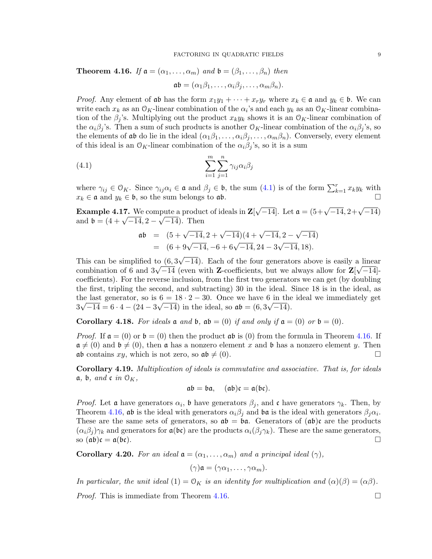<span id="page-8-1"></span>**Theorem 4.16.** If  $a = (\alpha_1, \ldots, \alpha_m)$  and  $b = (\beta_1, \ldots, \beta_n)$  then

<span id="page-8-0"></span> $\mathfrak{a}\mathfrak{b} = (\alpha_1\beta_1, \ldots, \alpha_i\beta_i, \ldots, \alpha_m\beta_n).$ 

*Proof.* Any element of ab has the form  $x_1y_1 + \cdots + x_ry_r$  where  $x_k \in \mathfrak{a}$  and  $y_k \in \mathfrak{b}$ . We can write each  $x_k$  as an  $\mathcal{O}_K$ -linear combination of the  $\alpha_i$ 's and each  $y_k$  as an  $\mathcal{O}_K$ -linear combination of the  $\beta_i$ 's. Multiplying out the product  $x_k y_k$  shows it is an  $\mathcal{O}_K$ -linear combination of the  $\alpha_i\beta_j$ 's. Then a sum of such products is another  $\mathcal{O}_K$ -linear combination of the  $\alpha_i\beta_j$ 's, so the elements of ab do lie in the ideal  $(\alpha_1\beta_1,\ldots,\alpha_i\beta_i,\ldots,\alpha_m\beta_n)$ . Conversely, every element of this ideal is an  $\mathcal{O}_K$ -linear combination of the  $\alpha_i\beta_j$ 's, so it is a sum

(4.1) 
$$
\sum_{i=1}^{m} \sum_{j=1}^{n} \gamma_{ij} \alpha_i \beta_j
$$

where  $\gamma_{ij} \in \mathcal{O}_K$ . Since  $\gamma_{ij} \alpha_i \in \mathfrak{a}$  and  $\beta_j \in \mathfrak{b}$ , the sum  $(4.1)$  is of the form  $\sum_{k=1}^r x_k y_k$  with  $x_k \in \mathfrak{a}$  and  $y_k \in \mathfrak{b}$ , so the sum belongs to  $\mathfrak{a}\mathfrak{b}$ .

<span id="page-8-3"></span>**Example 4.17.** We compute a product of ideals in  $\mathbf{Z}$ pute a product of ideals in  $\mathbf{Z}[\sqrt{-14}]$ . Let  $\mathfrak{a} = (5 + \sqrt{-14}, 2 + \sqrt{-14})$ **Example 4.17.** We compute a product<br>and  $\mathfrak{b} = (4 + \sqrt{-14}, 2 - \sqrt{-14})$ . Then

$$
\begin{array}{rcl}\n\mathfrak{a}\mathfrak{b} & = & (5 + \sqrt{-14}, 2 + \sqrt{-14})(4 + \sqrt{-14}, 2 - \sqrt{-14}) \\
& = & (6 + 9\sqrt{-14}, -6 + 6\sqrt{-14}, 24 - 3\sqrt{-14}, 18).\n\end{array}
$$

This can be simplified to (6, 3  $\overline{-14}$ ). Each of the four generators above is easily a linear This can be simplified to  $(0, 3\sqrt{-14})$ . Each of the four generators above is easily a linear combination of 6 and  $3\sqrt{-14}$  (even with **Z**-coefficients, but we always allow for **Z**[ $\sqrt{-14}$ ] coefficients). For the reverse inclusion, from the first two generators we can get (by doubling the first, tripling the second, and subtracting) 30 in the ideal. Since 18 is in the ideal, as the last generator, so is  $6 = 18 \cdot 2 - 30$ . Once we have 6 in the ideal we immediately get  $3\sqrt{-14} = 6 \cdot 4 - (24 - 3\sqrt{-14})$  in the ideal, so  $\mathfrak{ab} = (6, 3\sqrt{-14})$ .

Corollary 4.18. For ideals  $\mathfrak a$  and  $\mathfrak b$ ,  $\mathfrak ab = (0)$  if and only if  $\mathfrak a = (0)$  or  $\mathfrak b = (0)$ .

*Proof.* If  $a = (0)$  or  $b = (0)$  then the product  $ab$  is (0) from the formula in Theorem [4.16.](#page-8-1) If  $\mathfrak{a} \neq (0)$  and  $\mathfrak{b} \neq (0)$ , then  $\mathfrak{a}$  has a nonzero element x and  $\mathfrak{b}$  has a nonzero element y. Then ab contains xy, which is not zero, so  $ab \neq (0)$ .

Corollary 4.19. Multiplication of ideals is commutative and associative. That is, for ideals  $a, b, and c$  in  $\mathcal{O}_K$ ,

$$
\mathfrak{a}\mathfrak{b}=\mathfrak{b}\mathfrak{a},\quad (\mathfrak{a}\mathfrak{b})\mathfrak{c}=\mathfrak{a}(\mathfrak{b}\mathfrak{c}).
$$

*Proof.* Let **a** have generators  $\alpha_i$ , **b** have generators  $\beta_j$ , and **c** have generators  $\gamma_k$ . Then, by Theorem [4.16,](#page-8-1) ab is the ideal with generators  $\alpha_i\beta_j$  and ba is the ideal with generators  $\beta_j\alpha_i$ . These are the same sets of generators, so  $\mathfrak{ab} = \mathfrak{ba}$ . Generators of  $(\mathfrak{ab})\mathfrak{c}$  are the products  $(\alpha_i\beta_j)\gamma_k$  and generators for  $\mathfrak{a}(\mathfrak{bc})$  are the products  $\alpha_i(\beta_j\gamma_k)$ . These are the same generators, so  $(a\mathfrak{b})\mathfrak{c} = \mathfrak{a}(\mathfrak{b}\mathfrak{c})$ .

<span id="page-8-2"></span>**Corollary 4.20.** For an ideal  $a = (\alpha_1, \ldots, \alpha_m)$  and a principal ideal  $(\gamma)$ ,

$$
(\gamma)\mathfrak{a}=(\gamma\alpha_1,\ldots,\gamma\alpha_m).
$$

In particular, the unit ideal  $(1) = \mathcal{O}_K$  is an identity for multiplication and  $(\alpha)(\beta) = (\alpha\beta)$ .

*Proof.* This is immediate from Theorem [4.16.](#page-8-1)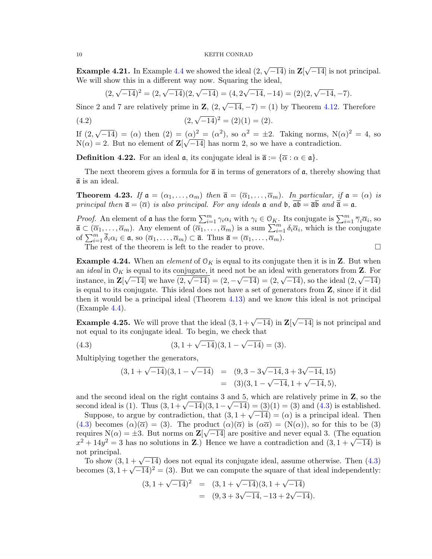**Example 4.21.** In Example  $4.4$  we showed the ideal  $(2, 4)$ √  $-14)$  in  $\mathbf{Z}$ [ √ −14] is not principal. We will show this in a different way now. Squaring the ideal,

<span id="page-9-1"></span>
$$
(2, \sqrt{-14})^2 = (2, \sqrt{-14})(2, \sqrt{-14}) = (4, 2\sqrt{-14}, -14) = (2)(2, \sqrt{-14}, -7).
$$

Since 2 and 7 are relatively prime in  $\mathbf{Z}$ ,  $(2, 1)$  $\overline{-14}, -7$  = (1) by Theorem [4.12.](#page-7-2) Therefore

(4.2) 
$$
(2, \sqrt{-14})^2 = (2)(1) = (2).
$$

If (2, √  $\overline{-14}$  = ( $\alpha$ ) then  $(2) = (\alpha)^2 = (\alpha^2)$ , so  $\alpha^2 = \pm 2$ . Taking norms, N( $\alpha$ )<sup>2</sup> = 4, so  $N(\alpha) = 2$ . But no element of  $\mathbb{Z}[\sqrt{-14}]$  has norm 2, so we have a contradiction.

**Definition 4.22.** For an ideal  $\mathfrak{a}$ , its conjugate ideal is  $\overline{\mathfrak{a}} := {\overline{\alpha} : \alpha \in \mathfrak{a}}$ .

The next theorem gives a formula for  $\bar{\mathfrak{a}}$  in terms of generators of  $\mathfrak{a}$ , thereby showing that  $\bar{a}$  is an ideal.

**Theorem 4.23.** If  $\mathfrak{a} = (\alpha_1, \ldots, \alpha_m)$  then  $\mathfrak{\overline{a}} = (\overline{\alpha}_1, \ldots, \overline{\alpha}_m)$ . In particular, if  $\mathfrak{a} = (\alpha)$  is principal then  $\overline{\mathfrak{a}} = (\overline{\alpha})$  is also principal. For any ideals  $\mathfrak{a}$  and  $\mathfrak{b}$ ,  $\overline{\mathfrak{a}} \overline{\mathfrak{b}}$  and  $\overline{\overline{\mathfrak{a}}} = \mathfrak{a}$ .

*Proof.* An element of a has the form  $\sum_{i=1}^{m} \gamma_i \alpha_i$  with  $\gamma_i \in \mathcal{O}_K$ . Its conjugate is  $\sum_{i=1}^{m} \overline{\gamma}_i \overline{\alpha}_i$ , so  $\overline{\mathfrak{a}} \subset (\overline{\alpha}_1,\ldots,\overline{\alpha}_m)$ . Any element of  $(\overline{\alpha}_1,\ldots,\overline{\alpha}_m)$  is a sum  $\sum_{i=1}^m \delta_i \overline{\alpha}_i$ , which is the conjugate of  $\sum_{i=1}^m \overline{\delta}_i \alpha_i \in \mathfrak{a}$ , so  $(\overline{\alpha}_1, \ldots, \overline{\alpha}_m) \subset \overline{\mathfrak{a}}$ . Thus  $\overline{\mathfrak{a}} = (\overline{\alpha}_1, \ldots, \overline{\overline{\alpha}_m})$ . The rest of the theorem is left to the reader to prove.  $\Box$ 

**Example 4.24.** When an *element* of  $O_K$  is equal to its conjugate then it is in **Z**. But when an *ideal* in  $\mathcal{O}_K$  is equal to its conjugate, it need not be an ideal with generators from **Z**. For instance, in  $\mathbf{Z}[\sqrt{-14}]$  we have  $(2,\sqrt{-14}) = (2,-\sqrt{-14}) = (2,\sqrt{-14})$ , so the ideal  $(2,\sqrt{-14})$ is equal to its conjugate. This ideal does not have a set of generators from Z, since if it did then it would be a principal ideal (Theorem [4.13\)](#page-7-0) and we know this ideal is not principal (Example [4.4\)](#page-5-0).

<span id="page-9-2"></span>**Example 4.25.** We will prove that the ideal  $(3, 1 + \sqrt{-14})$  in Z √  $\overline{-14}$  is not principal and not equal to its conjugate ideal. To begin, we check that

(4.3) 
$$
(3, 1 + \sqrt{-14})(3, 1 - \sqrt{-14}) = (3).
$$

Multiplying together the generators,

<span id="page-9-0"></span>
$$
(3, 1 + \sqrt{-14})(3, 1 - \sqrt{-14}) = (9, 3 - 3\sqrt{-14}, 3 + 3\sqrt{-14}, 15)
$$
  
= (3)(3, 1 - \sqrt{-14}, 1 + \sqrt{-14}, 5),

and the second ideal on the right contains 3 and 5, which are relatively prime in  $\mathbf{Z}$ , so the and the second ideal on the right contains 3 and 5, which are relatively prime in  $\mathbb{Z}$ , so the second ideal is (1). Thus  $(3, 1 + \sqrt{-14})(3, 1 - \sqrt{-14}) = (3)(1) = (3)$  and  $(4.3)$  is established.

Suppose, to argue by contradiction, that  $(3, 1 + \sqrt{-14}) = (3)(1) = (3)$  and  $(4.3)$  is established.<br>Suppose, to argue by contradiction, that  $(3, 1 + \sqrt{-14}) = (\alpha)$  is a principal ideal. Then [\(4.3\)](#page-9-0) becomes  $(\alpha)(\overline{\alpha}) = (3)$ . The product  $(\alpha)(\overline{\alpha})$  is  $(\alpha\overline{\alpha}) = (N(\alpha))$ , so for this to be (3) requires  $N(\alpha) = \pm 3$ . But norms on  $\mathbf{Z}[\sqrt{-14}]$  are positive and never equal 3. (The equation requires  $N(\alpha) = \pm 3$ . But norms on  $\mathbb{Z}[\sqrt{-14}]$  are positive and never equal 3. (The equation  $x^2 + 14y^2 = 3$  has no solutions in **Z**.) Hence we have a contradiction and  $(3, 1 + \sqrt{-14})$  is not principal.

t principai.<br>To show  $(3, 1 + \sqrt{-14})$  does not equal its conjugate ideal, assume otherwise. Then  $(4.3)$ Fo show (3,  $1 + \sqrt{-14}$ ) does not equal its conjugate ideal, assume otherwise. Then (4.3) becomes  $(3, 1 + \sqrt{-14})^2 = (3)$ . But we can compute the square of that ideal independently:

$$
(3, 1 + \sqrt{-14})^2 = (3, 1 + \sqrt{-14})(3, 1 + \sqrt{-14})
$$
  
= (9, 3 + 3 $\sqrt{-14}$ , -13 + 2 $\sqrt{-14}$ ).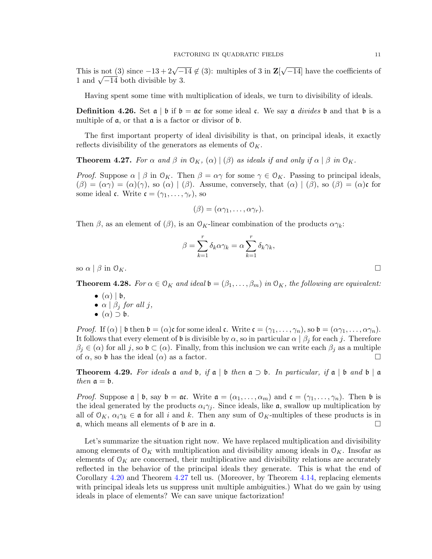This is not (3) since  $-13 + 2\sqrt{-14} \notin (3)$ : multiples of 3 in **Z**[ √ −14] have the coefficients of 1 ms is not (5) since  $-15 + 2\sqrt{-1}$ <br>1 and  $\sqrt{-14}$  both divisible by 3.

Having spent some time with multiplication of ideals, we turn to divisibility of ideals.

**Definition 4.26.** Set  $\alpha \mid b$  if  $b = \alpha c$  for some ideal c. We say  $\alpha$  *divides*  $b$  and that  $b$  is a multiple of a, or that a is a factor or divisor of b.

The first important property of ideal divisibility is that, on principal ideals, it exactly reflects divisibility of the generators as elements of  $\mathcal{O}_K$ .

<span id="page-10-0"></span>**Theorem 4.27.** For  $\alpha$  and  $\beta$  in  $\mathcal{O}_K$ ,  $(\alpha) |(\beta)$  as ideals if and only if  $\alpha | \beta$  in  $\mathcal{O}_K$ .

*Proof.* Suppose  $\alpha \mid \beta$  in  $\mathcal{O}_K$ . Then  $\beta = \alpha \gamma$  for some  $\gamma \in \mathcal{O}_K$ . Passing to principal ideals,  $(\beta) = (\alpha \gamma) = (\alpha)(\gamma)$ , so  $(\alpha) | (\beta)$ . Assume, conversely, that  $(\alpha) | (\beta)$ , so  $(\beta) = (\alpha)\mathfrak{c}$  for some ideal **c**. Write  $\mathbf{c} = (\gamma_1, \dots, \gamma_r)$ , so

$$
(\beta)=(\alpha\gamma_1,\ldots,\alpha\gamma_r).
$$

Then  $\beta$ , as an element of  $(\beta)$ , is an  $\mathcal{O}_K$ -linear combination of the products  $\alpha \gamma_k$ :

$$
\beta = \sum_{k=1}^{r} \delta_k \alpha \gamma_k = \alpha \sum_{k=1}^{r} \delta_k \gamma_k,
$$

so  $\alpha \mid \beta$  in  $\mathcal{O}_K$ .

<span id="page-10-2"></span>**Theorem 4.28.** For  $\alpha \in \mathcal{O}_K$  and ideal  $\mathfrak{b} = (\beta_1, \dots, \beta_m)$  in  $\mathcal{O}_K$ , the following are equivalent:

- $\bullet$   $(\alpha)$  |  $\mathfrak{b}$ ,
- $\alpha \mid \beta_j$  for all j,
- $(\alpha) \supset {\mathfrak b}.$

*Proof.* If  $(\alpha) | \mathfrak{b}$  then  $\mathfrak{b} = (\alpha) \mathfrak{c}$  for some ideal  $\mathfrak{c}$ . Write  $\mathfrak{c} = (\gamma_1, \ldots, \gamma_n)$ , so  $\mathfrak{b} = (\alpha \gamma_1, \ldots, \alpha \gamma_n)$ . It follows that every element of b is divisible by  $\alpha$ , so in particular  $\alpha \mid \beta_i$  for each j. Therefore  $\beta_j \in (\alpha)$  for all j, so  $\mathfrak{b} \subset (\alpha)$ . Finally, from this inclusion we can write each  $\beta_j$  as a multiple of  $\alpha$ , so b has the ideal  $(\alpha)$  as a factor.

<span id="page-10-1"></span>**Theorem 4.29.** For ideals **a** and **b**, if **a** | **b** then  $\mathfrak{a} \supset \mathfrak{b}$ . In particular, if  $\mathfrak{a} \mid \mathfrak{b}$  and  $\mathfrak{b} \mid \mathfrak{a}$ then  $\mathfrak{a} = \mathfrak{b}$ .

*Proof.* Suppose  $\mathfrak{a} \mid \mathfrak{b}$ , say  $\mathfrak{b} = \mathfrak{a} \mathfrak{c}$ . Write  $\mathfrak{a} = (\alpha_1, \dots, \alpha_m)$  and  $\mathfrak{c} = (\gamma_1, \dots, \gamma_n)$ . Then  $\mathfrak{b}$  is the ideal generated by the products  $\alpha_i \gamma_j$ . Since ideals, like a, swallow up multiplication by all of  $\mathcal{O}_K$ ,  $\alpha_i \gamma_k \in \mathfrak{a}$  for all i and k. Then any sum of  $\mathcal{O}_K$ -multiples of these products is in  $\alpha$ , which means all elements of  $\beta$  are in  $\alpha$ .

Let's summarize the situation right now. We have replaced multiplication and divisibility among elements of  $O_K$  with multiplication and divisibility among ideals in  $O_K$ . Insofar as elements of  $\mathcal{O}_K$  are concerned, their multiplicative and divisibility relations are accurately reflected in the behavior of the principal ideals they generate. This is what the end of Corollary [4.20](#page-8-2) and Theorem [4.27](#page-10-0) tell us. (Moreover, by Theorem [4.14,](#page-7-3) replacing elements with principal ideals lets us suppress unit multiple ambiguities.) What do we gain by using ideals in place of elements? We can save unique factorization!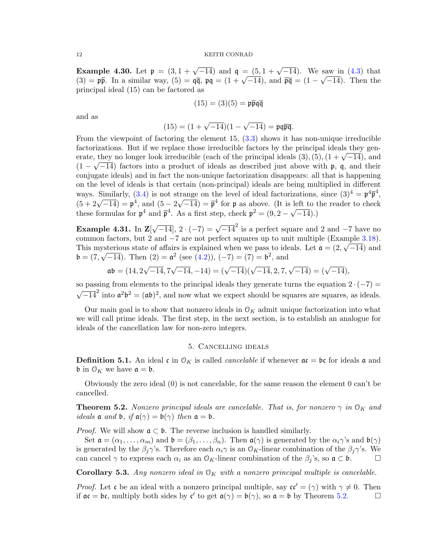<span id="page-11-2"></span>Example 4.30. Let  $\mathfrak{p} = (3, 1 + \sqrt{-14})$  and  $\mathfrak{q} = (5, 1 + \sqrt{-14})$ . We saw in [\(4.3\)](#page-9-0) that **Example 4.50.** Let  $\mathbf{p} = (3, 1 + \sqrt{-14})$  and  $\mathbf{q} = (3, 1 + \sqrt{-14})$ . We saw in (4.5) that <br>(3) =  $\mathbf{p}\bar{\mathbf{p}}$ . In a similar way, (5) =  $\mathbf{q}\bar{\mathbf{q}}$ ,  $\mathbf{p}\mathbf{q} = (1 + \sqrt{-14})$ , and  $\bar{\mathbf{p}}\bar{\mathbf{q}} = (1 - \sqrt{-14})$ . Then th principal ideal (15) can be factored as

$$
(15) = (3)(5) = \mathfrak{p}\overline{\mathfrak{p}}\mathfrak{q}\overline{\mathfrak{q}}
$$

and as

$$
(15) = (1 + \sqrt{-14})(1 - \sqrt{-14}) = \mathfrak{p}\mathfrak{q}\overline{\mathfrak{p}}\overline{\mathfrak{q}}.
$$

From the viewpoint of factoring the element  $15, (3.3)$  $15, (3.3)$  shows it has non-unique irreducible factorizations. But if we replace those irreducible factors by the principal ideals they genractorizations. But if we replace those irreducible factors by the principal ideals they generate, they no longer look irreducible (each of the principal ideals  $(3)$ , $(5)$ ,  $(1 + \sqrt{-14})$ , and  $(1 - \sqrt{-14})$  factors into a product of ideals as described just above with p, q, and their conjugate ideals) and in fact the non-unique factorization disappears: all that is happening on the level of ideals is that certain (non-principal) ideals are being multiplied in different ways. Similarly, [\(3.4\)](#page-4-0) is not strange on the level of ideal factorizations, since  $(3)^4 = \mathfrak{p}^4 \overline{\mathfrak{p}}^4$ , ways. Similarly,  $(3.4)$  is not s<br> $(5 + 2\sqrt{-14}) = \mathfrak{p}^4$ , and  $(5 - 2)$ √  $\overline{-14}$ ) =  $\overline{p}^4$  for p as above. (It is left to the reader to check  $(3 + 2\sqrt{-14}) = \mathfrak{p}$ , and  $(3 - 2\sqrt{-14}) = \mathfrak{p}$  for  $\mathfrak{p}$  as above. (it is in these formulas for  $\mathfrak{p}^4$  and  $\bar{\mathfrak{p}}^4$ . As a first step, check  $\mathfrak{p}^2 = (9, 2 - \sqrt{14})$  $(-14).$ 

Example 4.31. In  $\mathbb{Z}$ [  $\sqrt{-14}$ ,  $2 \cdot (-7) = \sqrt{-14}^2$  is a perfect square and 2 and -7 have no common factors, but 2 and  $-7$  are not perfect squares up to unit multiple (Example [3.18\)](#page-4-2). This mysterious state of affairs is explained when we pass to ideals. Let  $\mathfrak{a} = (2, \sqrt{-14})$  and  $\mathfrak{b} = (7, \sqrt{-14})$ . Then  $(2) = \mathfrak{a}^2$  (see  $(4.2)$ ),  $(-7) = (7) = \mathfrak{b}^2$ , and

$$
\mathfrak{a}\mathfrak{b} = (14, 2\sqrt{-14}, 7\sqrt{-14}, -14) = (\sqrt{-14})(\sqrt{-14}, 2, 7, \sqrt{-14}) = (\sqrt{-14}),
$$

so passing from elements to the principal ideals they generate turns the equation  $2 \cdot (-7) =$  $\sqrt{-14}^2$  into  $\mathfrak{a}^2\mathfrak{b}^2 = (\mathfrak{a}\mathfrak{b})^2$ , and now what we expect should be squares are squares, as ideals.

Our main goal is to show that nonzero ideals in  $\mathcal{O}_K$  admit unique factorization into what we will call prime ideals. The first step, in the next section, is to establish an analogue for ideals of the cancellation law for non-zero integers.

### 5. Cancelling ideals

**Definition 5.1.** An ideal c in  $\mathcal{O}_K$  is called *cancelable* if whenever  $\mathfrak{a}c = \mathfrak{b}c$  for ideals  $\mathfrak{a}$  and **b** in  $\mathcal{O}_K$  we have  $\mathfrak{a} = \mathfrak{b}$ .

Obviously the zero ideal (0) is not cancelable, for the same reason the element 0 can't be cancelled.

<span id="page-11-0"></span>**Theorem 5.2.** Nonzero principal ideals are cancelable. That is, for nonzero  $\gamma$  in  $\mathcal{O}_K$  and ideals **a** and **b**, if  $a(\gamma) = b(\gamma)$  then  $a = b$ .

*Proof.* We will show  $a \subset b$ . The reverse inclusion is handled similarly.

Set  $\mathfrak{a} = (\alpha_1, \ldots, \alpha_m)$  and  $\mathfrak{b} = (\beta_1, \ldots, \beta_n)$ . Then  $\mathfrak{a}(\gamma)$  is generated by the  $\alpha_i \gamma$ 's and  $\mathfrak{b}(\gamma)$ is generated by the  $\beta_j \gamma$ 's. Therefore each  $\alpha_i \gamma$  is an  $\mathcal{O}_K$ -linear combination of the  $\beta_j \gamma$ 's. We can cancel  $\gamma$  to express each  $\alpha_i$  as an  $\mathcal{O}_K$ -linear combination of the  $\beta_i$ 's, so  $\mathfrak{a} \subset \mathfrak{b}$ .

<span id="page-11-1"></span>**Corollary 5.3.** Any nonzero ideal in  $\mathcal{O}_K$  with a nonzero principal multiple is cancelable.

*Proof.* Let c be an ideal with a nonzero principal multiple, say  $c\zeta' = (\gamma)$  with  $\gamma \neq 0$ . Then if  $ac = bc$ , multiply both sides by c' to get  $a(\gamma) = b(\gamma)$ , so  $a = b$  by Theorem [5.2.](#page-11-0)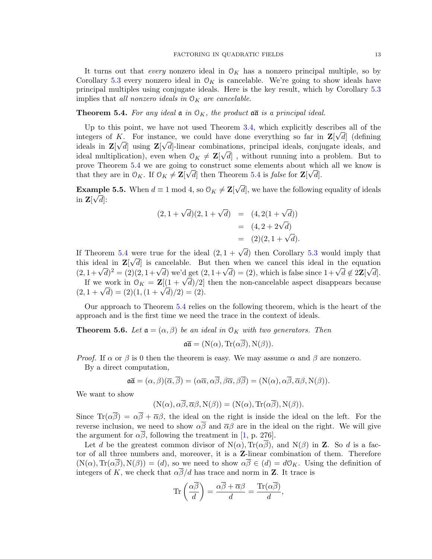It turns out that *every* nonzero ideal in  $O_K$  has a nonzero principal multiple, so by Corollary [5.3](#page-11-1) every nonzero ideal in  $\mathcal{O}_K$  is cancelable. We're going to show ideals have principal multiples using conjugate ideals. Here is the key result, which by Corollary [5.3](#page-11-1) implies that all nonzero ideals in  $\mathcal{O}_K$  are cancelable.

### <span id="page-12-0"></span>**Theorem 5.4.** For any ideal  $\mathfrak{a}$  in  $\mathfrak{O}_K$ , the product  $\mathfrak{a}\bar{\mathfrak{a}}$  is a principal ideal.

Up to this point, we have not used Theorem [3.4,](#page-1-3) which explicitly describes all of the integers of K. For instance, we could have done everything so far in  $\mathbf{Z}[\sqrt{d}]$  (defining ideals in  $\mathbf{Z}[\sqrt{d}]$  using  $\mathbf{Z}[\sqrt{d}]$ -linear combinations, principal ideals, conjugate ideals, and ideal multiplication), even when  $0_K \neq \mathbf{Z}[\sqrt{d}]$ , without running into a problem. But to prove Theorem [5.4](#page-12-0) we are going to construct some elements about which all we know is that they are in  $\mathcal{O}_K$ . If  $\mathcal{O}_K \neq \mathbb{Z}[\sqrt{d}]$  then Theorem [5.4](#page-12-0) is *false* for  $\mathbb{Z}[\sqrt{d}]$ .

**Example 5.5.** When  $d \equiv 1 \bmod{4}$ , so  $\mathcal{O}_K \neq \mathbf{Z}[$ √ mple 5.5. When  $d \equiv 1 \mod 4$ , so  $\mathcal{O}_K \neq \mathbf{Z}[\sqrt{d}]$ , we have the following equality of ideals in  $\mathbf{Z}[\sqrt{d}]$ :

$$
(2, 1 + \sqrt{d})(2, 1 + \sqrt{d}) = (4, 2(1 + \sqrt{d}))
$$
  
= (4, 2 + 2 $\sqrt{d}$ )  
= (2)(2, 1 +  $\sqrt{d}$ ).

If Theorem [5.4](#page-12-0) were true for the ideal  $(2, 1 + \sqrt{d})$  then Corollary [5.3](#page-11-1) would imply that this ideal in  $\mathbf{Z}[\sqrt{d}]$  is cancelable. But then when we cancel this ideal in the equation this ideal in  $\mathbf{Z}[\sqrt{a}]$  is cancelable. But then when we cancel this ideal in the equation  $(2, 1 + \sqrt{d})^2 = (2)(2, 1 + \sqrt{d})$  we'd get  $(2, 1 + \sqrt{d}) = (2)$ , which is false since  $1 + \sqrt{d} \notin 2\mathbf{Z}[\sqrt{d}]$ . If we work in  $\mathcal{O}_K = \mathbb{Z}[(1 + \sqrt{d})/2]$  then the non-cancelable aspect disappears because If we work in  $\mathcal{O}_K = \mathbb{Z}[(1 + \sqrt{a})/2]$ <br>(2,  $1 + \sqrt{d}$ ) = (2)(1,  $(1 + \sqrt{d})/2$ ) = (2).

Our approach to Theorem [5.4](#page-12-0) relies on the following theorem, which is the heart of the approach and is the first time we need the trace in the context of ideals.

<span id="page-12-1"></span>**Theorem 5.6.** Let  $a = (\alpha, \beta)$  be an ideal in  $\mathcal{O}_K$  with two generators. Then

$$
\mathfrak{a}\overline{\mathfrak{a}} = (\mathcal{N}(\alpha), \text{Tr}(\alpha\overline{\beta}), \mathcal{N}(\beta)).
$$

*Proof.* If  $\alpha$  or  $\beta$  is 0 then the theorem is easy. We may assume  $\alpha$  and  $\beta$  are nonzero. By a direct computation,

$$
\mathfrak{a}\overline{\mathfrak{a}}=(\alpha,\beta)(\overline{\alpha},\overline{\beta})=(\alpha\overline{\alpha},\alpha\overline{\beta},\beta\overline{\alpha},\beta\overline{\beta})=(N(\alpha),\alpha\overline{\beta},\overline{\alpha}\beta,N(\beta)).
$$

We want to show

$$
(N(\alpha), \alpha\overline{\beta}, \overline{\alpha}\beta, N(\beta)) = (N(\alpha), Tr(\alpha\overline{\beta}), N(\beta)).
$$

Since  $\text{Tr}(\alpha \overline{\beta}) = \alpha \overline{\beta} + \overline{\alpha} \beta$ , the ideal on the right is inside the ideal on the left. For the reverse inclusion, we need to show  $\alpha\overline{\beta}$  and  $\overline{\alpha}\beta$  are in the ideal on the right. We will give the argument for  $\alpha\beta$ , following the treatment in [\[1,](#page-23-0) p. 276].

Let d be the greatest common divisor of  $N(\alpha)$ ,  $Tr(\alpha\beta)$ , and  $N(\beta)$  in **Z**. So d is a factor of all three numbers and, moreover, it is a Z-linear combination of them. Therefore  $(N(\alpha), \text{Tr}(\alpha\overline{\beta}), N(\beta)) = (d)$ , so we need to show  $\alpha\overline{\beta} \in (d) = d\mathfrak{O}_K$ . Using the definition of integers of K, we check that  $\alpha\overline{\beta}/d$  has trace and norm in Z. It trace is

$$
\operatorname{Tr}\left(\frac{\alpha\overline{\beta}}{d}\right) = \frac{\alpha\overline{\beta} + \overline{\alpha}\beta}{d} = \frac{\operatorname{Tr}(\alpha\overline{\beta})}{d},
$$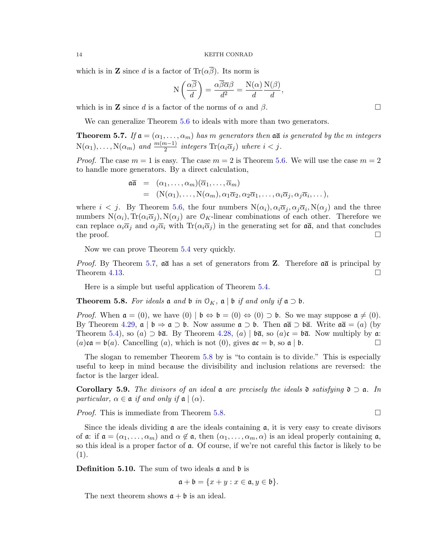which is in **Z** since d is a factor of  $\text{Tr}(\alpha \overline{\beta})$ . Its norm is

$$
N\left(\frac{\alpha\overline{\beta}}{d}\right) = \frac{\alpha\overline{\beta}\overline{\alpha}\beta}{d^2} = \frac{N(\alpha)}{d}\frac{N(\beta)}{d},
$$

which is in **Z** since d is a factor of the norms of  $\alpha$  and  $\beta$ .

We can generalize Theorem [5.6](#page-12-1) to ideals with more than two generators.

<span id="page-13-0"></span>**Theorem 5.7.** If  $a = (\alpha_1, \dots, \alpha_m)$  has m generators then  $a\overline{a}$  is generated by the m integers  $N(\alpha_1), \ldots, N(\alpha_m)$  and  $\frac{m(m-1)}{2}$  integers  $\text{Tr}(\alpha_i \overline{\alpha}_j)$  where  $i < j$ .

*Proof.* The case  $m = 1$  is easy. The case  $m = 2$  is Theorem [5.6.](#page-12-1) We will use the case  $m = 2$ to handle more generators. By a direct calculation,

$$
\begin{array}{rcl}\n\mathfrak{a}\overline{\mathfrak{a}} & = & (\alpha_1,\ldots,\alpha_m)(\overline{\alpha}_1,\ldots,\overline{\alpha}_m) \\
& = & (\mathcal{N}(\alpha_1),\ldots,\mathcal{N}(\alpha_m),\alpha_1\overline{\alpha}_2,\alpha_2\overline{\alpha}_1,\ldots,\alpha_i\overline{\alpha}_j,\alpha_j\overline{\alpha}_i,\ldots),\n\end{array}
$$

where  $i < j$ . By Theorem [5.6,](#page-12-1) the four numbers  $N(\alpha_i)$ ,  $\alpha_i \overline{\alpha}_j$ ,  $\alpha_j \overline{\alpha}_i$ ,  $N(\alpha_j)$  and the three numbers  $N(\alpha_i)$ ,  $Tr(\alpha_i \overline{\alpha}_j)$ ,  $N(\alpha_j)$  are  $\mathcal{O}_K$ -linear combinations of each other. Therefore we can replace  $\alpha_i \overline{\alpha}_i$  and  $\alpha_j \overline{\alpha}_i$  with  $\text{Tr}(\alpha_i \overline{\alpha}_j)$  in the generating set for  $\overline{\mathfrak{a}}$ , and that concludes the proof.  $\Box$ 

Now we can prove Theorem [5.4](#page-12-0) very quickly.

*Proof.* By Theorem [5.7,](#page-13-0)  $\overline{a\overline{a}}$  has a set of generators from **Z**. Therefore  $\overline{a\overline{a}}$  is principal by Theorem [4.13.](#page-7-0)  $\Box$ 

Here is a simple but useful application of Theorem [5.4.](#page-12-0)

<span id="page-13-1"></span>**Theorem 5.8.** For ideals  $\mathfrak{a}$  and  $\mathfrak{b}$  in  $\mathfrak{O}_K$ ,  $\mathfrak{a} \mid \mathfrak{b}$  if and only if  $\mathfrak{a} \supset \mathfrak{b}$ .

*Proof.* When  $\mathfrak{a} = (0)$ , we have  $(0) | \mathfrak{b} \Leftrightarrow \mathfrak{b} = (0) \Leftrightarrow (0) \supset \mathfrak{b}$ . So we may suppose  $\mathfrak{a} \neq (0)$ . By Theorem [4.29,](#page-10-1)  $\mathfrak{a} \mid \mathfrak{b} \Rightarrow \mathfrak{a} \supset \mathfrak{b}$ . Now assume  $\mathfrak{a} \supset \mathfrak{b}$ . Then  $\mathfrak{a} \bar{\mathfrak{a}} \supset \mathfrak{b} \bar{\mathfrak{a}}$ . Write  $\mathfrak{a} \bar{\mathfrak{a}} = (a)$  (by Theorem [5.4\)](#page-12-0), so (a)  $\supset \mathfrak{b}\bar{\mathfrak{a}}$ . By Theorem [4.28,](#page-10-2) (a) |  $\mathfrak{b}\bar{\mathfrak{a}}$ , so (a)c =  $\mathfrak{b}\bar{\mathfrak{a}}$ . Now multiply by a:  $(a)$ ca =  $\mathfrak{b}(a)$ . Cancelling  $(a)$ , which is not  $(0)$ , gives  $\mathfrak{a}\mathfrak{c} = \mathfrak{b}$ , so  $\mathfrak{a} \mid \mathfrak{b}$ .

The slogan to remember Theorem [5.8](#page-13-1) by is "to contain is to divide." This is especially useful to keep in mind because the divisibility and inclusion relations are reversed: the factor is the larger ideal.

**Corollary 5.9.** The divisors of an ideal  $\bf{a}$  are precisely the ideals  $\bf{0}$  satisfying  $\bf{0} \supset \bf{a}$ . In particular,  $\alpha \in \mathfrak{a}$  if and only if  $\mathfrak{a} \mid (\alpha)$ .

*Proof.* This is immediate from Theorem [5.8.](#page-13-1)

Since the ideals dividing  $\alpha$  are the ideals containing  $\alpha$ , it is very easy to create divisors of  $\mathfrak{a}:$  if  $\mathfrak{a} = (\alpha_1, \ldots, \alpha_m)$  and  $\alpha \notin \mathfrak{a}$ , then  $(\alpha_1, \ldots, \alpha_m, \alpha)$  is an ideal properly containing  $\mathfrak{a}$ , so this ideal is a proper factor of a. Of course, if we're not careful this factor is likely to be (1).

<span id="page-13-2"></span>**Definition 5.10.** The sum of two ideals  $\boldsymbol{\alpha}$  and  $\boldsymbol{\beta}$  is

$$
\mathfrak{a} + \mathfrak{b} = \{x + y : x \in \mathfrak{a}, y \in \mathfrak{b}\}.
$$

The next theorem shows  $a + b$  is an ideal.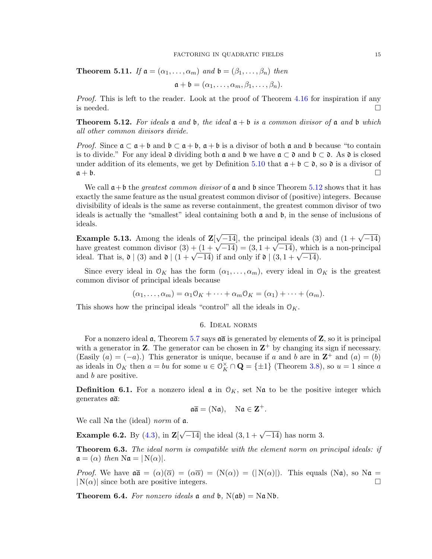**Theorem 5.11.** If  $a = (\alpha_1, \ldots, \alpha_m)$  and  $b = (\beta_1, \ldots, \beta_n)$  then

$$
\mathfrak{a} + \mathfrak{b} = (\alpha_1, \dots, \alpha_m, \beta_1, \dots, \beta_n).
$$

Proof. This is left to the reader. Look at the proof of Theorem [4.16](#page-8-1) for inspiration if any is needed.  $\Box$ 

<span id="page-14-0"></span>**Theorem 5.12.** For ideals  $\mathfrak{a}$  and  $\mathfrak{b}$ , the ideal  $\mathfrak{a} + \mathfrak{b}$  is a common divisor of  $\mathfrak{a}$  and  $\mathfrak{b}$  which all other common divisors divide.

*Proof.* Since  $\mathfrak{a} \subset \mathfrak{a} + \mathfrak{b}$  and  $\mathfrak{b} \subset \mathfrak{a} + \mathfrak{b}$ ,  $\mathfrak{a} + \mathfrak{b}$  is a divisor of both  $\mathfrak{a}$  and  $\mathfrak{b}$  because "to contain is to divide." For any ideal  $\mathfrak d$  dividing both  $\mathfrak a$  and  $\mathfrak b$  we have  $\mathfrak a \subset \mathfrak d$  and  $\mathfrak b \subset \mathfrak d$ . As  $\mathfrak d$  is closed under addition of its elements, we get by Definition [5.10](#page-13-2) that  $\mathfrak{a} + \mathfrak{b} \subset \mathfrak{d}$ , so  $\mathfrak{d}$  is a divisor of  $a + b$ .

We call  $\mathfrak{a}+\mathfrak{b}$  the *greatest common divisor* of  $\mathfrak{a}$  and  $\mathfrak{b}$  since Theorem [5.12](#page-14-0) shows that it has exactly the same feature as the usual greatest common divisor of (positive) integers. Because divisibility of ideals is the same as reverse containment, the greatest common divisor of two ideals is actually the "smallest" ideal containing both  $\alpha$  and  $\beta$ , in the sense of inclusions of ideals.

**Example 5.13.** Among the ideals of  $\mathbf{Z}$  $\sqrt{-14}$ , the principal ideals (3) and  $(1 + \sqrt{-14})$ **Example 5.13.** Among the ideals of  $\mathbb{Z}[\sqrt{-14}]$ , the principal ideals (3) and  $(1 + \sqrt{-14})$  have greatest common divisor  $(3) + (1 + \sqrt{-14}) = (3, 1 + \sqrt{-14})$ , which is a non-principal mave greatest common divisor  $(s) + (1 + \sqrt{-14}) = (s, 1 + \sqrt{-14})$ , which<br>ideal. That is,  $\mathfrak{d} \mid (3)$  and  $\mathfrak{d} \mid (1 + \sqrt{-14})$  if and only if  $\mathfrak{d} \mid (3, 1 + \sqrt{-14})$ .

Since every ideal in  $\mathcal{O}_K$  has the form  $(\alpha_1, \ldots, \alpha_m)$ , every ideal in  $\mathcal{O}_K$  is the greatest common divisor of principal ideals because

$$
(\alpha_1,\ldots,\alpha_m)=\alpha_1\mathfrak{O}_K+\cdots+\alpha_m\mathfrak{O}_K=(\alpha_1)+\cdots+(\alpha_m).
$$

This shows how the principal ideals "control" all the ideals in  $\mathcal{O}_K$ .

6. Ideal norms

For a nonzero ideal  $\alpha$ , Theorem [5.7](#page-13-0) says  $\alpha\overline{\alpha}$  is generated by elements of Z, so it is principal with a generator in **Z**. The generator can be chosen in  $\mathbb{Z}^+$  by changing its sign if necessary. (Easily  $(a) = (-a)$ .) This generator is unique, because if a and b are in  $\mathbb{Z}^+$  and  $(a) = (b)$ as ideals in  $\mathcal{O}_K$  then  $a = bu$  for some  $u \in \mathcal{O}_K^\times \cap \mathbf{Q} = {\pm 1}$  (Theorem [3.8\)](#page-3-0), so  $u = 1$  since a and b are positive.

**Definition 6.1.** For a nonzero ideal  $\boldsymbol{\alpha}$  in  $\mathcal{O}_K$ , set N $\boldsymbol{\alpha}$  to be the positive integer which generates  $a\overline{a}$ :

$$
\mathfrak{a}\overline{\mathfrak{a}}=(N\mathfrak{a}),\quad N\mathfrak{a}\in\mathbf{Z}^+.
$$

We call N<sub>a</sub> the (ideal) norm of a.

**Example 6.2.** By  $(4.3)$ , in **Z**[  $\sqrt{-14}$  the ideal  $(3, 1 + \sqrt{-14})$  has norm 3.

**Theorem 6.3.** The ideal norm is compatible with the element norm on principal ideals: if  $\mathfrak{a} = (\alpha)$  then  $\text{Na} = |\text{N}(\alpha)|$ .

*Proof.* We have  $\mathfrak{a}\bar{\mathfrak{a}} = (\alpha)(\bar{\alpha}) = (\alpha\bar{\alpha}) = (N(\alpha)) = (N(\alpha))$ . This equals  $(N\mathfrak{a})$ , so  $N\mathfrak{a} =$  $|N(\alpha)|$  since both are positive integers.

**Theorem 6.4.** For nonzero ideals  $\mathfrak{a}$  and  $\mathfrak{b}$ ,  $N(\mathfrak{a}\mathfrak{b}) = N\mathfrak{a}N\mathfrak{b}$ .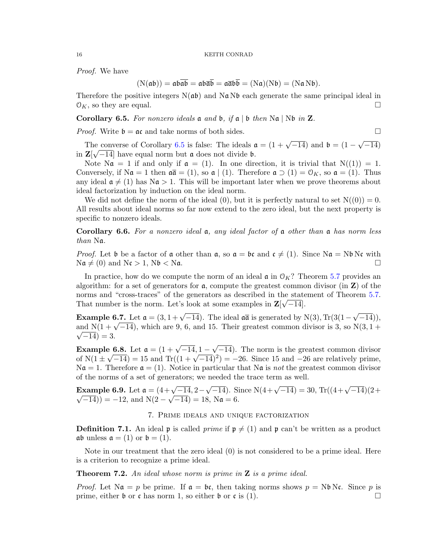Proof. We have

$$
(\mathbf{N}(\mathfrak{a}\mathfrak{b})) = \mathfrak{a}\mathfrak{b}\overline{\mathfrak{a}\mathfrak{b}} = \mathfrak{a}\mathfrak{b}\overline{\mathfrak{a}\mathfrak{b}} = \mathfrak{a}\overline{\mathfrak{a}}\mathfrak{b}\overline{\mathfrak{b}} = (\mathbf{N}\mathfrak{a})(\mathbf{N}\mathfrak{b}) = (\mathbf{N}\mathfrak{a}\mathbf{N}\mathfrak{b}).
$$

Therefore the positive integers  $N(a\mathfrak{b})$  and  $N\mathfrak{a} N\mathfrak{b}$  each generate the same principal ideal in  $\mathcal{O}_K$ , so they are equal.

<span id="page-15-0"></span>Corollary 6.5. For nonzero ideals  $\mathfrak a$  and  $\mathfrak b$ , if  $\mathfrak a$  |  $\mathfrak b$  then N $\mathfrak a$  | N $\mathfrak b$  in Z.

*Proof.* Write  $\mathfrak{b} = \mathfrak{a} \mathfrak{c}$  and take norms of both sides.

The converse of Corollary [6.5](#page-15-0) is false: The ideals  $\mathfrak{a} = (1 + \sqrt{-14})$  and  $\mathfrak{b} = (1 - \sqrt{-14})$ √ ne converse of Corollary 6.5 is false: The ideals  $\mathfrak{a} = (1 + \sqrt{-14})$  and  $\mathfrak{b} = (1 - \sqrt{-14})$ in  $\mathbf{Z}[\sqrt{-14}]$  have equal norm but a does not divide b.

Note  $\text{Na} = 1$  if and only if  $\mathfrak{a} = (1)$ . In one direction, it is trivial that  $N((1)) = 1$ . Conversely, if  $\mathrm{N}\mathfrak{a} = 1$  then  $\mathfrak{a}\overline{\mathfrak{a}} = (1)$ , so  $\mathfrak{a} \mid (1)$ . Therefore  $\mathfrak{a} \supset (1) = \mathfrak{O}_K$ , so  $\mathfrak{a} = (1)$ . Thus any ideal  $\mathfrak{a} \neq (1)$  has N $\mathfrak{a} > 1$ . This will be important later when we prove theorems about ideal factorization by induction on the ideal norm.

We did not define the norm of the ideal (0), but it is perfectly natural to set  $N((0)) = 0$ . All results about ideal norms so far now extend to the zero ideal, but the next property is specific to nonzero ideals.

**Corollary 6.6.** For a nonzero ideal  $a$ , any ideal factor of  $a$  other than  $a$  has norm less than Na.

*Proof.* Let b be a factor of a other than a, so  $a = bc$  and  $c \neq (1)$ . Since Na = Nb Nc with  $\text{Na} \neq (0)$  and  $\text{Nc} > 1$ ,  $\text{Nb} < \text{Na}$ .

In practice, how do we compute the norm of an ideal  $\mathfrak{a}$  in  $\mathfrak{O}_K$ ? Theorem [5.7](#page-13-0) provides an algorithm: for a set of generators for  $a$ , compute the greatest common divisor (in  $Z$ ) of the norms and "cross-traces" of the generators as described in the statement of Theorem [5.7.](#page-13-0) That number is the norm. Let's look at some examples in  $\mathbf{Z}[\sqrt{-14}]$ .

**Example 6.7.** Let  $\mathfrak{a} = (3, 1 + \sqrt{-14})$ . The ideal  $\mathfrak{a}\overline{\mathfrak{a}}$  is generated by N(3), Tr(3(1 – √  $(-14)),$ **Example 6.7.** Let  $\mathfrak{a} = (3, 1 + \sqrt{-14})$ . The ideal  $\mathfrak{a}$  is generated by N(3), Ir(3(1- $\sqrt{-14}$ ), and N(1+ $\sqrt{-14}$ ), which are 9, 6, and 15. Their greatest common divisor is 3, so N(3, 1+  $\sqrt{-14}$ ) = 3.

**Example 6.8.** Let  $\mathfrak{a} = (1 + \sqrt{-14}, 1 -$ √  $\mathbf{e} = \mathbf{6.8}$ . Let  $\mathbf{a} = (1 + \sqrt{-14}, 1 - \sqrt{-14})$ . The norm is the greatest common divisor **EXAMPLE 6.8.** Let  $\mathfrak{a} = (1 + \sqrt{-14}, 1 - \sqrt{-14})$ . The norm is the greatest common divisor of  $N(1 \pm \sqrt{-14}) = 15$  and  $Tr((1 + \sqrt{-14})^2) = -26$ . Since 15 and  $-26$  are relatively prime,  $\mathcal{N}\mathfrak{a} = 1$ . Therefore  $\mathfrak{a} = (1)$ . Notice in particular that  $\mathcal{N}\mathfrak{a}$  is not the greatest common divisor of the norms of a set of generators; we needed the trace term as well.

**Example 6.9.** Let  $\mathfrak{a} = (4 + \sqrt{-14}, 2 -$ **Example 6.9.** Let  $\mathfrak{a} = (4 + \sqrt{-14}, 2 - \sqrt{-14})$ . Since  $N(4 + \sqrt{-14}) = 30$ ,  $Tr((4 + \sqrt{-14})(2 + \sqrt{-14}))$  $(\overline{-14})$ ) = -12, and N(2 –  $\sqrt{-14}$ ) = 18, N $\mathfrak{a} = 6$ .

### 7. Prime ideals and unique factorization

**Definition 7.1.** An ideal **p** is called *prime* if  $p \neq (1)$  and **p** can't be written as a product  $\mathfrak{a}\mathfrak{b}$  unless  $\mathfrak{a} = (1)$  or  $\mathfrak{b} = (1)$ .

Note in our treatment that the zero ideal (0) is not considered to be a prime ideal. Here is a criterion to recognize a prime ideal.

<span id="page-15-1"></span>**Theorem 7.2.** An ideal whose norm is prime in  $Z$  is a prime ideal.

*Proof.* Let  $\text{Na} = p$  be prime. If  $a = bc$ , then taking norms shows  $p = \text{Nb} \text{Nc}$ . Since p is prime, either  $\mathfrak b$  or c has norm 1, so either  $\mathfrak b$  or c is (1).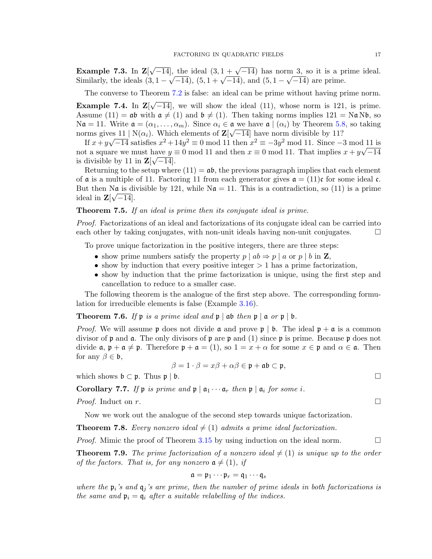Example 7.3. In Z[  $\sqrt{-14}$ , the ideal  $(3, 1 + \sqrt{-14})$  has norm 3, so it is a prime ideal. **Example 7.3.** In  $\mathbb{Z}[\sqrt{-14}]$ , the ideal  $(3, 1 + \sqrt{-14})$  has norm 3, so it is a probability, the ideals  $(3, 1 - \sqrt{-14})$ ,  $(5, 1 + \sqrt{-14})$ , and  $(5, 1 - \sqrt{-14})$  are prime.

The converse to Theorem [7.2](#page-15-1) is false: an ideal can be prime without having prime norm.

<span id="page-16-1"></span>Example 7.4. In Z[ √  $-14$ , we will show the ideal (11), whose norm is 121, is prime. Assume (11) =  $\mathfrak{a}\mathfrak{b}$  with  $\mathfrak{a} \neq (1)$  and  $\mathfrak{b} \neq (1)$ . Then taking norms implies 121 = N $\mathfrak{a}$  N $\mathfrak{b}$ , so  $\mathbf{N}\mathbf{a} = 11.$  Write  $\mathbf{a} = (\alpha_1, \dots, \alpha_m)$ . Since  $\alpha_i \in \mathbf{a}$  we have  $\mathbf{a} \mid (\alpha_i)$  by Theorem [5.8,](#page-13-1) so taking norms gives  $11 \mid N(\alpha_i)$ . Which elements of  $\mathbb{Z}[\sqrt{-14}]$  have norm divisible by 11?

If  $x+y\sqrt{-14}$  satisfies  $x^2+14y^2 \equiv 0 \mod 11$  then  $x^2 \equiv -3y^2 \mod 11$ . Since  $-3 \mod 11$  is not a square we must have  $y \equiv 0 \mod 11$  and then  $x \equiv 0 \mod 11$ . That implies  $x + y\sqrt{-14}$ is divisible by 11 in  $\mathbf{Z}[\sqrt{-14}]$ .

Returning to the setup where  $(11) = ab$ , the previous paragraph implies that each element of  $\mathfrak a$  is a multiple of 11. Factoring 11 from each generator gives  $\mathfrak a = (11)\mathfrak c$  for some ideal  $\mathfrak c$ . But then Na is divisible by 121, while  $\mathbf{N}\mathbf{a} = 11$ . This is a contradiction, so (11) is a prime ideal in  $\mathbf{Z}[\sqrt{-14}]$ .

### **Theorem 7.5.** If an ideal is prime then its conjugate ideal is prime.

Proof. Factorizations of an ideal and factorizations of its conjugate ideal can be carried into each other by taking conjugates, with non-unit ideals having non-unit conjugates.  $\Box$ 

To prove unique factorization in the positive integers, there are three steps:

- show prime numbers satisfy the property  $p | ab \Rightarrow p | a$  or  $p | b$  in **Z**,
- show by induction that every positive integer  $> 1$  has a prime factorization,
- show by induction that the prime factorization is unique, using the first step and cancellation to reduce to a smaller case.

The following theorem is the analogue of the first step above. The corresponding formulation for irreducible elements is false (Example [3.16\)](#page-4-3).

### <span id="page-16-2"></span>**Theorem 7.6.** If  $\mathfrak{p}$  is a prime ideal and  $\mathfrak{p} \mid \mathfrak{a}$  then  $\mathfrak{p} \mid \mathfrak{a}$  or  $\mathfrak{p} \mid \mathfrak{b}$ .

*Proof.* We will assume p does not divide  $\alpha$  and prove  $p \mid b$ . The ideal  $p + a$  is a common divisor of  $\mathfrak p$  and  $\mathfrak a$ . The only divisors of  $\mathfrak p$  are  $\mathfrak p$  and (1) since  $\mathfrak p$  is prime. Because  $\mathfrak p$  does not divide  $\mathfrak{a}, \mathfrak{p} + \mathfrak{a} \neq \mathfrak{p}$ . Therefore  $\mathfrak{p} + \mathfrak{a} = (1)$ , so  $1 = x + \alpha$  for some  $x \in \mathfrak{p}$  and  $\alpha \in \mathfrak{a}$ . Then for any  $\beta \in \mathfrak{b}$ ,

$$
\beta = 1 \cdot \beta = x\beta + \alpha\beta \in \mathfrak{p} + \mathfrak{a}\mathfrak{b} \subset \mathfrak{p},
$$

which shows  $\mathfrak{b} \subset \mathfrak{p}$ . Thus  $\mathfrak{p} \mid \mathfrak{b}$ .

<span id="page-16-0"></span>**Corollary 7.7.** If  $\mathfrak{p}$  is prime and  $\mathfrak{p} \mid \mathfrak{a}_1 \cdots \mathfrak{a}_r$  then  $\mathfrak{p} \mid \mathfrak{a}_i$  for some i.

*Proof.* Induct on r.

Now we work out the analogue of the second step towards unique factorization.

**Theorem 7.8.** Every nonzero ideal  $\neq$  (1) admits a prime ideal factorization.

*Proof.* Mimic the proof of Theorem [3.15](#page-4-4) by using induction on the ideal norm.  $\Box$ 

**Theorem 7.9.** The prime factorization of a nonzero ideal  $\neq$  (1) is unique up to the order of the factors. That is, for any nonzero  $a \neq (1)$ , if

$$
\mathfrak{a}=\mathfrak{p}_1\cdots\mathfrak{p}_r=\mathfrak{q}_1\cdots\mathfrak{q}_s
$$

where the  $\mathfrak{p}_i$ 's and  $\mathfrak{q}_j$ 's are prime, then the number of prime ideals in both factorizations is the same and  $\mathfrak{p}_i = \mathfrak{q}_i$  after a suitable relabelling of the indices.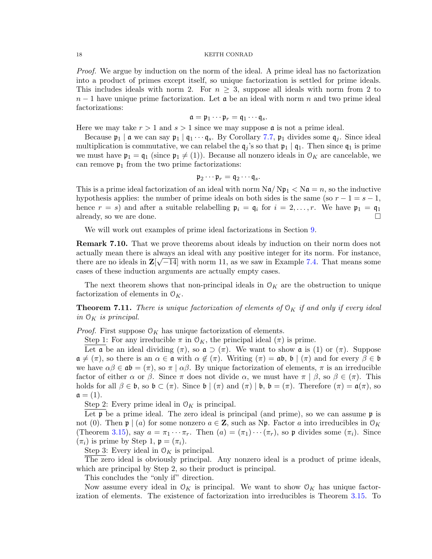Proof. We argue by induction on the norm of the ideal. A prime ideal has no factorization into a product of primes except itself, so unique factorization is settled for prime ideals. This includes ideals with norm 2. For  $n \geq 3$ , suppose all ideals with norm from 2 to  $n-1$  have unique prime factorization. Let  $\alpha$  be an ideal with norm n and two prime ideal factorizations:

$$
\mathfrak{a}=\mathfrak{p}_1\cdots\mathfrak{p}_r=\mathfrak{q}_1\cdots\mathfrak{q}_s.
$$

Here we may take  $r > 1$  and  $s > 1$  since we may suppose **a** is not a prime ideal.

Because  $\mathfrak{p}_1 \mid \mathfrak{a}$  we can say  $\mathfrak{p}_1 \mid \mathfrak{q}_1 \cdots \mathfrak{q}_s$ . By Corollary [7.7,](#page-16-0)  $\mathfrak{p}_1$  divides some  $\mathfrak{q}_i$ . Since ideal multiplication is commutative, we can relabel the  $q_i$ 's so that  $p_1 | q_1$ . Then since  $q_1$  is prime we must have  $\mathfrak{p}_1 = \mathfrak{q}_1$  (since  $\mathfrak{p}_1 \neq (1)$ ). Because all nonzero ideals in  $\mathfrak{O}_K$  are cancelable, we can remove  $\mathfrak{p}_1$  from the two prime factorizations:

$$
\mathfrak{p}_2\cdots\mathfrak{p}_r=\mathfrak{q}_2\cdots\mathfrak{q}_s.
$$

This is a prime ideal factorization of an ideal with norm  $\text{Na}/\text{Np}_1 < \text{Na} = n$ , so the inductive hypothesis applies: the number of prime ideals on both sides is the same (so  $r - 1 = s - 1$ , hence  $r = s$ ) and after a suitable relabelling  $\mathfrak{p}_i = \mathfrak{q}_i$  for  $i = 2, \ldots, r$ . We have  $\mathfrak{p}_1 = \mathfrak{q}_1$ already, so we are done.

We will work out examples of prime ideal factorizations in Section [9.](#page-21-0)

Remark 7.10. That we prove theorems about ideals by induction on their norm does not actually mean there is always an ideal with any positive integer for its norm. For instance, there are no ideals in  $\mathbb{Z}[\sqrt{-14}]$  with norm 11, as we saw in Example [7.4.](#page-16-1) That means some cases of these induction arguments are actually empty cases.

The next theorem shows that non-principal ideals in  $\mathcal{O}_K$  are the obstruction to unique factorization of elements in  $\mathcal{O}_K$ .

**Theorem 7.11.** There is unique factorization of elements of  $O_K$  if and only if every ideal in  $\mathcal{O}_K$  is principal.

*Proof.* First suppose  $O_K$  has unique factorization of elements.

Step 1: For any irreducible  $\pi$  in  $\mathcal{O}_K$ , the principal ideal  $(\pi)$  is prime.

Let a be an ideal dividing  $(\pi)$ , so  $\mathfrak{a} \supset (\pi)$ . We want to show a is (1) or  $(\pi)$ . Suppose  $\mathfrak{a} \neq (\pi)$ , so there is an  $\alpha \in \mathfrak{a}$  with  $\alpha \notin (\pi)$ . Writing  $(\pi) = \mathfrak{ab}$ ,  $\mathfrak{b} \mid (\pi)$  and for every  $\beta \in \mathfrak{b}$ we have  $\alpha\beta \in \mathfrak{ab} = (\pi)$ , so  $\pi \mid \alpha\beta$ . By unique factorization of elements,  $\pi$  is an irreducible factor of either  $\alpha$  or  $\beta$ . Since  $\pi$  does not divide  $\alpha$ , we must have  $\pi | \beta$ , so  $\beta \in (\pi)$ . This holds for all  $\beta \in \mathfrak{b}$ , so  $\mathfrak{b} \subset (\pi)$ . Since  $\mathfrak{b} \mid (\pi)$  and  $(\pi) \mid \mathfrak{b}$ ,  $\mathfrak{b} = (\pi)$ . Therefore  $(\pi) = \mathfrak{a}(\pi)$ , so  $\mathfrak{a} = (1).$ 

Step 2: Every prime ideal in  $\mathcal{O}_K$  is principal.

Let  $\mathfrak p$  be a prime ideal. The zero ideal is principal (and prime), so we can assume  $\mathfrak p$  is not (0). Then  $\mathfrak{p} \mid (a)$  for some nonzero  $a \in \mathbb{Z}$ , such as Np. Factor a into irreducibles in  $\mathcal{O}_K$ (Theorem [3.15\)](#page-4-4), say  $a = \pi_1 \cdots \pi_r$ . Then  $(a) = (\pi_1) \cdots (\pi_r)$ , so p divides some  $(\pi_i)$ . Since  $(\pi_i)$  is prime by Step 1,  $\mathfrak{p} = (\pi_i)$ .

Step 3: Every ideal in  $\mathcal{O}_K$  is principal.

The zero ideal is obviously principal. Any nonzero ideal is a product of prime ideals, which are principal by Step 2, so their product is principal.

This concludes the "only if" direction.

Now assume every ideal in  $\mathcal{O}_K$  is principal. We want to show  $\mathcal{O}_K$  has unique factorization of elements. The existence of factorization into irreducibles is Theorem [3.15.](#page-4-4) To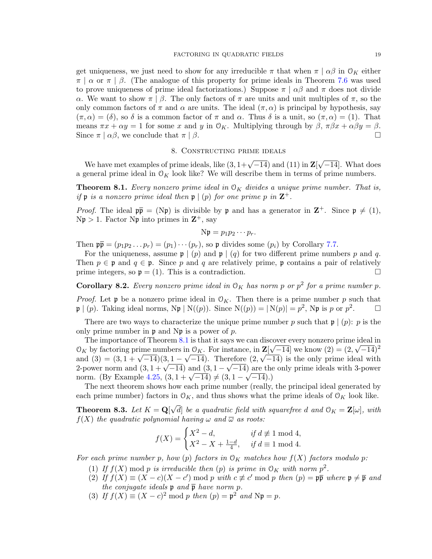get uniqueness, we just need to show for any irreducible  $\pi$  that when  $\pi | \alpha \beta$  in  $\mathcal{O}_K$  either  $\pi$  |  $\alpha$  or  $\pi$  |  $\beta$ . (The analogue of this property for prime ideals in Theorem [7.6](#page-16-2) was used to prove uniqueness of prime ideal factorizations.) Suppose  $\pi | \alpha \beta$  and  $\pi$  does not divide α. We want to show  $\pi \mid \beta$ . The only factors of  $\pi$  are units and unit multiples of  $\pi$ , so the only common factors of  $\pi$  and  $\alpha$  are units. The ideal  $(\pi, \alpha)$  is principal by hypothesis, say  $(\pi, \alpha) = (\delta)$ , so  $\delta$  is a common factor of  $\pi$  and  $\alpha$ . Thus  $\delta$  is a unit, so  $(\pi, \alpha) = (1)$ . That means  $\pi x + \alpha y = 1$  for some x and y in  $\mathcal{O}_K$ . Multiplying through by  $\beta$ ,  $\pi \beta x + \alpha \beta y = \beta$ . Since  $\pi | \alpha \beta$ , we conclude that  $\pi | \beta$ .

### 8. Constructing prime ideals

We have met examples of prime ideals, like  $(3, 1 + \sqrt{-14})$  and  $(11)$  in  $\mathbf{Z}$ √ −14]. What does a general prime ideal in  $O_K$  look like? We will describe them in terms of prime numbers.

<span id="page-18-0"></span>**Theorem 8.1.** Every nonzero prime ideal in  $O_K$  divides a unique prime number. That is, if  $\mathfrak p$  is a nonzero prime ideal then  $\mathfrak p \mid (p)$  for one prime p in  $\mathbf Z^+$ .

*Proof.* The ideal  $p\bar{p} = (Np)$  is divisible by p and has a generator in  $\mathbb{Z}^+$ . Since  $p \neq (1)$ ,  $N\mathfrak{p} > 1$ . Factor  $N\mathfrak{p}$  into primes in  $\mathbb{Z}^+$ , say

$$
N\mathfrak{p} = p_1p_2\cdots p_r.
$$

Then  $\mathfrak{p} = (p_1p_2 \ldots p_r) = (p_1) \cdots (p_r)$ , so  $\mathfrak{p}$  divides some  $(p_i)$  by Corollary [7.7.](#page-16-0)

For the uniqueness, assume  $\mathfrak{p} \mid (p)$  and  $\mathfrak{p} \mid (q)$  for two different prime numbers p and q. Then  $p \in \mathfrak{p}$  and  $q \in \mathfrak{p}$ . Since p and q are relatively prime, p contains a pair of relatively prime integers, so  $\mathfrak{p} = (1)$ . This is a contradiction.

**Corollary 8.2.** Every nonzero prime ideal in  $O_K$  has norm p or  $p^2$  for a prime number p.

*Proof.* Let **p** be a nonzero prime ideal in  $\mathcal{O}_K$ . Then there is a prime number p such that  $\mathfrak{p} \mid (p)$ . Taking ideal norms,  $N\mathfrak{p} \mid N((p))$ . Since  $N((p)) = |N(p)| = p^2$ ,  $N\mathfrak{p}$  is p or  $p^2$  $\Box$ 

There are two ways to characterize the unique prime number p such that  $\mathfrak{p} \mid (p)$ : p is the only prime number in  $\mathfrak p$  and N $\mathfrak p$  is a power of p.

The importance of Theorem [8.1](#page-18-0) is that it says we can discover every nonzero prime ideal in  $\mathcal{O}_K$  by factoring prime numbers in  $\mathcal{O}_K$ . For instance, in  $\mathbf{Z}[\sqrt{-14}]$  we know  $(2) = (2, \sqrt{-14})^2$  $\mathcal{O}_K$  by lactoring prime numbers in  $\mathcal{O}_K$ . For instance, in  $\mathbb{Z}[\sqrt{-14}]$  we know  $(2) = (2, \sqrt{-14})^{-1}$ <br>and  $(3) = (3, 1 + \sqrt{-14})(3, 1 - \sqrt{-14})$ . Therefore  $(2, \sqrt{-14})$  is the only prime ideal with and (3) =  $(3, 1 + \sqrt{-14})$ ,  $(3, 1 - \sqrt{-14})$ . Therefore  $(2, \sqrt{-14})$  is the only prime ideals with 3-power<br>2-power norm and  $(3, 1 + \sqrt{-14})$  and  $(3, 1 - \sqrt{-14})$  are the only prime ideals with 3-power 2-power norm and  $(3, 1 + \sqrt{-14})$  and  $(3, 1 - \sqrt{-14})$  are the<br>norm. (By Example [4.25,](#page-9-2)  $(3, 1 + \sqrt{-14}) \neq (3, 1 - \sqrt{-14})$ .)

The next theorem shows how each prime number (really, the principal ideal generated by each prime number) factors in  $\mathcal{O}_K$ , and thus shows what the prime ideals of  $\mathcal{O}_K$  look like.

<span id="page-18-1"></span>**Theorem 8.3.** Let  $K = \mathbf{Q}$ √ d] be a quadratic field with squarefree d and  $\mathcal{O}_K = \mathbf{Z}[\omega]$ , with  $f(X)$  the quadratic polynomial having  $\omega$  and  $\overline{\omega}$  as roots:

$$
f(X) = \begin{cases} X^2 - d, & \text{if } d \not\equiv 1 \bmod 4, \\ X^2 - X + \frac{1 - d}{4}, & \text{if } d \equiv 1 \bmod 4. \end{cases}
$$

For each prime number p, how (p) factors in  $\mathcal{O}_K$  matches how  $f(X)$  factors modulo p:

- (1) If  $f(X)$  mod p is irreducible then (p) is prime in  $\mathcal{O}_K$  with norm  $p^2$ .
- (2) If  $f(X) \equiv (X c)(X c') \mod p$  with  $c \not\equiv c' \mod p$  then  $(p) = p\overline{p}$  where  $p \neq \overline{p}$  and the conjugate ideals  $\mathfrak p$  and  $\overline{\mathfrak p}$  have norm  $p$ .
- (3) If  $f(X) \equiv (X c)^2 \mod p$  then  $(p) = \mathfrak{p}^2$  and  $N\mathfrak{p} = p$ .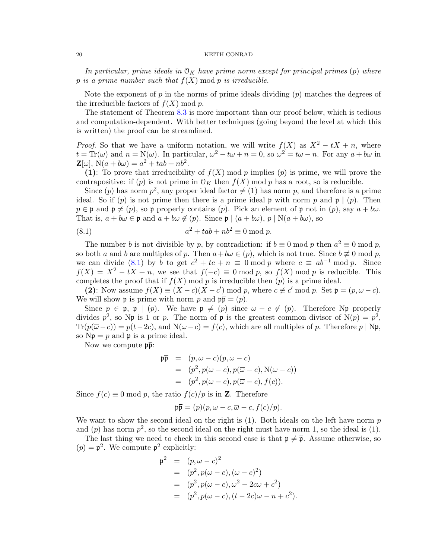In particular, prime ideals in  $\mathcal{O}_K$  have prime norm except for principal primes (p) where p is a prime number such that  $f(X) \mod p$  is irreducible.

Note the exponent of p in the norms of prime ideals dividing  $(p)$  matches the degrees of the irreducible factors of  $f(X) \bmod p$ .

The statement of Theorem [8.3](#page-18-1) is more important than our proof below, which is tedious and computation-dependent. With better techniques (going beyond the level at which this is written) the proof can be streamlined.

*Proof.* So that we have a uniform notation, we will write  $f(X)$  as  $X^2 - tX + n$ , where  $t = \text{Tr}(\omega)$  and  $n = \text{N}(\omega)$ . In particular,  $\omega^2 - t\omega + n = 0$ , so  $\omega^2 = t\omega - n$ . For any  $a + b\omega$  in  $\mathbf{Z}[\omega], N(a + b\omega) = a^2 + tab + nb^2.$ 

(1): To prove that irreducibility of  $f(X)$  mod p implies (p) is prime, we will prove the contrapositive: if (p) is not prime in  $\mathcal{O}_K$  then  $f(X)$  mod p has a root, so is reducible.

Since (p) has norm  $p^2$ , any proper ideal factor  $\neq$  (1) has norm p, and therefore is a prime ideal. So if (p) is not prime then there is a prime ideal **p** with norm p and **p**  $(p)$ . Then  $p \in \mathfrak{p}$  and  $\mathfrak{p} \neq (p)$ , so  $\mathfrak{p}$  properly contains  $(p)$ . Pick an element of  $\mathfrak{p}$  not in  $(p)$ , say  $a + b\omega$ . That is,  $a + b\omega \in \mathfrak{p}$  and  $a + b\omega \notin (p)$ . Since  $\mathfrak{p} \mid (a + b\omega)$ ,  $p \mid N(a + b\omega)$ , so

<span id="page-19-0"></span>
$$
(8.1) \t a2 + tab + nb2 \equiv 0 \bmod p.
$$

The number b is not divisible by p, by contradiction: if  $b \equiv 0 \mod p$  then  $a^2 \equiv 0 \mod p$ , so both a and b are multiples of p. Then  $a+b\omega \in (p)$ , which is not true. Since  $b \neq 0 \mod p$ , we can divide [\(8.1\)](#page-19-0) by b to get  $c^2 + tc + n \equiv 0 \mod p$  where  $c \equiv ab^{-1} \mod p$ . Since  $f(X) = X^2 - tX + n$ , we see that  $f(-c) \equiv 0 \mod p$ , so  $f(X) \mod p$  is reducible. This completes the proof that if  $f(X)$  mod p is irreducible then  $(p)$  is a prime ideal.

(2): Now assume  $f(X) \equiv (X - c)(X - c') \bmod p$ , where  $c \not\equiv c' \bmod p$ . Set  $\mathfrak{p} = (p, \omega - c)$ . We will show **p** is prime with norm p and  $\mathbf{p}\bar{\mathbf{p}} = (p)$ .

Since  $p \in \mathfrak{p}$ ,  $\mathfrak{p} \mid (p)$ . We have  $\mathfrak{p} \neq (p)$  since  $\omega - c \notin (p)$ . Therefore Np properly divides  $p^2$ , so Np is 1 or p. The norm of p is the greatest common divisor of  $N(p) = p^2$ ,  $\text{Tr}(p(\overline{\omega}-c)) = p(t-2c)$ , and  $\mathcal{N}(\omega-c) = f(c)$ , which are all multiples of p. Therefore p | Np, so  $Np = p$  and p is a prime ideal.

Now we compute  $\mathfrak{p}\overline{\mathfrak{p}}$ :

$$
\begin{array}{rcl}\n\mathfrak{p}\overline{\mathfrak{p}} & = & (p, \omega - c)(p, \overline{\omega} - c) \\
& = & (p^2, p(\omega - c), p(\overline{\omega} - c), \mathcal{N}(\omega - c)) \\
& = & (p^2, p(\omega - c), p(\overline{\omega} - c), f(c)).\n\end{array}
$$

Since  $f(c) \equiv 0 \mod p$ , the ratio  $f(c)/p$  is in **Z**. Therefore

$$
\mathfrak{p}\overline{\mathfrak{p}}=(p)(p,\omega-c,\overline{\omega}-c,f(c)/p).
$$

We want to show the second ideal on the right is  $(1)$ . Both ideals on the left have norm p and (p) has norm  $p^2$ , so the second ideal on the right must have norm 1, so the ideal is (1).

The last thing we need to check in this second case is that  $\mathfrak{p} \neq \overline{\mathfrak{p}}$ . Assume otherwise, so  $(p) = \mathfrak{p}^2$ . We compute  $\mathfrak{p}^2$  explicitly:

$$
\begin{array}{rcl}\n\mathfrak{p}^2 & = & (p, \omega - c)^2 \\
& = & (p^2, p(\omega - c), (\omega - c)^2) \\
& = & (p^2, p(\omega - c), \omega^2 - 2c\omega + c^2) \\
& = & (p^2, p(\omega - c), (t - 2c)\omega - n + c^2).\n\end{array}
$$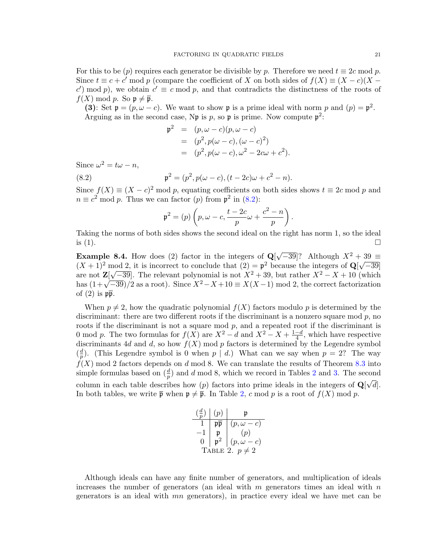For this to be (p) requires each generator be divisible by p. Therefore we need  $t \equiv 2c \mod p$ . Since  $t \equiv c + c'$  mod p (compare the coefficient of X on both sides of  $f(X) \equiv (X - c)(X - c')$ c') mod p), we obtain  $c' \equiv c \mod p$ , and that contradicts the distinctness of the roots of  $f(X) \bmod p$ . So  $\mathfrak{p} \neq \overline{\mathfrak{p}}$ .

(3): Set  $\mathfrak{p} = (p, \omega - c)$ . We want to show  $\mathfrak{p}$  is a prime ideal with norm p and  $(p) = \mathfrak{p}^2$ . Arguing as in the second case, Np is p, so p is prime. Now compute  $p^2$ :

$$
\mathfrak{p}^2 = (p, \omega - c)(p, \omega - c) \n= (p^2, p(\omega - c), (\omega - c)^2) \n= (p^2, p(\omega - c), \omega^2 - 2c\omega + c^2).
$$

Since  $\omega^2 = t\omega - n$ ,

(8.2) 
$$
\mathfrak{p}^2 = (p^2, p(\omega - c), (t - 2c)\omega + c^2 - n).
$$

Since  $f(X) \equiv (X - c)^2 \mod p$ , equating coefficients on both sides shows  $t \equiv 2c \mod p$  and  $n \equiv c^2 \mod p$ . Thus we can factor (p) from  $p^2$  in [\(8.2\)](#page-20-0):

<span id="page-20-0"></span>
$$
\mathfrak{p}^2 = (p) \left( p, \omega - c, \frac{t - 2c}{p} \omega + \frac{c^2 - n}{p} \right).
$$

Taking the norms of both sides shows the second ideal on the right has norm 1, so the ideal is  $(1)$ .

**Example 8.4.** How does (2) factor in the integers of  $Q$  $\sqrt{-39}$ ? Although  $X^2 + 39 \equiv$ **EXAMPLE 8.4.** How does (2) factor in the integers of  $\mathbf{Q}[\mathbf{v} - 39]$ . Although  $\mathbf{A}^2 + \mathbf{A}$   $(X + 1)^2$  mod 2, it is incorrect to conclude that  $(2) = \mathbf{p}^2$  because the integers of  $\mathbf{Q}[\mathbf{v}]$ nod 2, it is incorrect to conclude that  $(2) = \mathfrak{p}^2$  because the integers of  $\mathbb{Q}[\sqrt{-39}]$ are not  $\mathbb{Z}[\sqrt{-39}]$ . The relevant polynomial is not  $X^2 + 39$ , but rather  $X^2 - X + 10$  (which are not  $\mathbb{Z}[V-39]$ . The relevant polynomial is not  $X^+ + 39$ , but rather  $X^- - X + 10$  (which<br>has  $(1+\sqrt{-39})/2$  as a root). Since  $X^2 - X + 10 \equiv X(X-1) \mod 2$ , the correct factorization of  $(2)$  is  $p\bar{p}$ .

When  $p \neq 2$ , how the quadratic polynomial  $f(X)$  factors modulo p is determined by the discriminant: there are two different roots if the discriminant is a nonzero square mod  $p$ , no roots if the discriminant is not a square mod p, and a repeated root if the discriminant is 0 mod p. The two formulas for  $f(X)$  are  $X^2 - d$  and  $X^2 - X + \frac{1-d}{4}$  $\frac{-d}{4}$ , which have respective discriminants 4d and d, so how  $f(X)$  mod p factors is determined by the Legendre symbol  $\left(\frac{d}{n}\right)$  $\frac{d}{p}$ ). (This Legendre symbol is 0 when  $p | d$ .) What can we say when  $p = 2$ ? The way  $f(X)$  mod 2 factors depends on d mod 8. We can translate the results of Theorem [8.3](#page-18-1) into simple formulas based on  $(\frac{d}{p})$  and d mod 8, which we record in Tables [2](#page-20-1) and [3.](#page-21-1) The second column in each table describes how (p) factors into prime ideals in the integers of  $\mathbf{Q}[\sqrt{d}]$ . In both tables, we write  $\bar{\mathfrak{p}}$  when  $\mathfrak{p} \neq \bar{\mathfrak{p}}$ . In Table [2,](#page-20-1) c mod p is a root of  $f(X)$  mod p.

<span id="page-20-1"></span>

|                     | (p)   |                   |  |  |
|---------------------|-------|-------------------|--|--|
|                     |       | $(p,\omega-c)$    |  |  |
|                     |       | (p)               |  |  |
| 0                   | $v^2$ | $(p, \omega - c)$ |  |  |
| TABLE 2. $p \neq 2$ |       |                   |  |  |

Although ideals can have any finite number of generators, and multiplication of ideals increases the number of generators (an ideal with  $m$  generators times an ideal with  $n$ generators is an ideal with mn generators), in practice every ideal we have met can be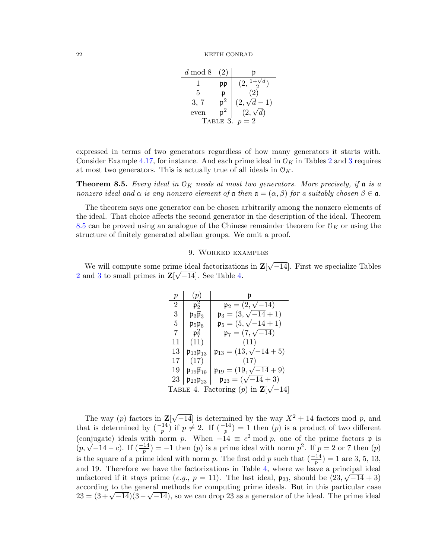<span id="page-21-1"></span>

| $d \mod 8$        | $\left( 2\right)$ | n                |  |  |
|-------------------|-------------------|------------------|--|--|
|                   |                   |                  |  |  |
| 5                 |                   |                  |  |  |
| 3, 7              |                   | $(2,\sqrt{d-1})$ |  |  |
| even              |                   | $(2,\sqrt{d})$   |  |  |
| TABLE 3.<br>$p=2$ |                   |                  |  |  |

expressed in terms of two generators regardless of how many generators it starts with. Consider Example [4.17,](#page-8-3) for instance. And each prime ideal in  $\mathcal{O}_K$  in Tables [2](#page-20-1) and [3](#page-21-1) requires at most two generators. This is actually true of all ideals in  $\mathcal{O}_K$ .

<span id="page-21-2"></span>**Theorem 8.5.** Every ideal in  $O_K$  needs at most two generators. More precisely, if a is a nonzero ideal and  $\alpha$  is any nonzero element of  $\mathfrak a$  then  $\mathfrak a = (\alpha, \beta)$  for a suitably chosen  $\beta \in \mathfrak a$ .

The theorem says one generator can be chosen arbitrarily among the nonzero elements of the ideal. That choice affects the second generator in the description of the ideal. Theorem [8.5](#page-21-2) can be proved using an analogue of the Chinese remainder theorem for  $\mathcal{O}_K$  or using the structure of finitely generated abelian groups. We omit a proof.

### 9. Worked examples

<span id="page-21-0"></span>We will compute some prime ideal factorizations in  $\mathbf{Z}$ √ ne ideal factorizations in  $\mathbf{Z}[\sqrt{-14}]$ . First we specialize Tables [2](#page-20-1) and [3](#page-21-1) to small primes in  $\mathbf{Z}[\sqrt{-14}]$ . See Table [4.](#page-21-3)

<span id="page-21-3"></span>

| р                                                  | $\overline{p}$                                   |                                            |  |  |
|----------------------------------------------------|--------------------------------------------------|--------------------------------------------|--|--|
| $\overline{2}$                                     | $\mathfrak{p}_2^2$                               | $\mathfrak{p}_2 = (2, \sqrt{-14})$         |  |  |
| 3                                                  | $\mathfrak{p}_3\overline{\mathfrak{p}}_3$        | $\mathfrak{p}_3 = (3, \sqrt{-14} + 1)$     |  |  |
| 5                                                  | $\mathfrak{p}_5\overline{\mathfrak{p}}_5$        | $\mathfrak{p}_5 = (5, \sqrt{-14} + 1)$     |  |  |
| 7                                                  | $\mathfrak{p}_7^2$                               | $\mathfrak{p}_7 = (7, \sqrt{-14})$         |  |  |
| 11                                                 | (11)                                             | (11)                                       |  |  |
| 13                                                 | $\mathfrak{p}_{13}\overline{\mathfrak{p}}_{13}$  | $\mathfrak{p}_{13} = (13, \sqrt{-14} + 5)$ |  |  |
| 17                                                 | (17)                                             | (17)                                       |  |  |
| 19                                                 | $\mathfrak{p}_{19}\mathfrak{p}_{19}$             | $\mathfrak{p}_{19} = (19, \sqrt{-14} + 9)$ |  |  |
| 23                                                 | $\mathfrak{p}_{23} \overline{\mathfrak{p}}_{23}$ | $\mathfrak{p}_{23} = (\sqrt{-14} + 3)$     |  |  |
| TABLE 4. Factoring (p) in $\mathbf{Z}[\sqrt{-14}]$ |                                                  |                                            |  |  |

The way  $(p)$  factors in  $\mathbf{Z}$  $\sqrt{-14}$  is determined by the way  $X^2 + 14$  factors mod p, and that is determined by  $\left(\frac{-14}{p}\right)$  if  $p \neq 2$ . If  $\left(\frac{-14}{p}\right) = 1$  then  $(p)$  is a product of two different (conjugate) ideals with norm p. When  $-14 \equiv c^2 \mod p$ , one of the prime factors **p** is  $(p, \sqrt{-14} - c)$ . If  $(\frac{-14}{p}) = -1$  then  $(p)$  is a prime ideal with norm  $p^2$ . If  $p = 2$  or 7 then  $(p)$ is the square of a prime ideal with norm p. The first odd p such that  $\left(\frac{-14}{p}\right) = 1$  are 3, 5, 13, and 19. Therefore we have the factorizations in Table [4,](#page-21-3) where we leave a principal ideal unfactored if it stays prime (e.g.,  $p = 11$ ). The last ideal,  $\mathfrak{p}_{23}$ , should be  $(23, \sqrt{-14} + 3)$ according to the general methods for computing prime ideals. But in this particular case according to the general methods for computing prime ideals. But in this particular case<br> $23 = (3 + \sqrt{-14})(3 - \sqrt{-14})$ , so we can drop 23 as a generator of the ideal. The prime ideal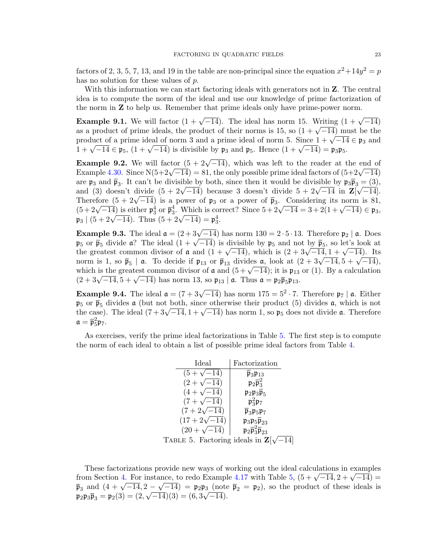factors of 2, 3, 5, 7, 13, and 19 in the table are non-principal since the equation  $x^2+14y^2=p$ has no solution for these values of p.

With this information we can start factoring ideals with generators not in  $Z$ . The central idea is to compute the norm of the ideal and use our knowledge of prime factorization of the norm in Z to help us. Remember that prime ideals only have prime-power norm.

**Example 9.1.** We will factor  $(1 + \sqrt{-14})$ . The ideal has norm 15. Writing  $(1 + \sqrt{-14})$ **Example 9.1.** We will factor  $(1 + \sqrt{-14})$ . The ideal has norm 15. Writing  $(1 + \sqrt{-14})$  as a product of prime ideals, the product of their norms is 15, so  $(1 + \sqrt{-14})$  must be the as a product of prime ideals, the product of their norms is 15, so  $(1 + \sqrt{-14})$  must be the product of a prime ideal of norm 3 and a prime ideal of norm 5. Since  $1 + \sqrt{-14} \in \mathfrak{p}_3$  and product or a prime ideal of norm 3 and a prime ideal or norm 3. Since  $1 + \sqrt{-14} \in \mathfrak{p}_5$ ,  $(1 + \sqrt{-14})$  is divisible by  $\mathfrak{p}_3$  and  $\mathfrak{p}_5$ . Hence  $(1 + \sqrt{-14}) = \mathfrak{p}_3 \mathfrak{p}_5$ .

**Example 9.2.** We will factor  $(5 + 2\sqrt{-14})$ , which was left to the reader at the end of **Example 9.2.** We will factor  $(3 + 2\sqrt{-14})$ , which was left to the reader at the end of Example [4.30.](#page-11-2) Since N(5+2 $\sqrt{-14}$ ) = 81, the only possible prime ideal factors of  $(5+2\sqrt{-14})$ are  $\mathfrak{p}_3$  and  $\overline{\mathfrak{p}}_3$ . It can't be divisible by both, since then it would be divisible by  $\mathfrak{p}_3\overline{\mathfrak{p}_3} = (3)$ , are  $\mathfrak{p}_3$  and  $\mathfrak{p}_3$ . It can t be divisible by both, since then it would be divisible by  $\mathfrak{p}_3 \mathfrak{p}_3 = (3)$ , and (3) doesn't divide  $(5 + 2\sqrt{-14})$  because 3 doesn't divide  $5 + 2\sqrt{-14}$  in  $\mathbb{Z}[\sqrt{-14}]$ . Therefore  $(5 + 2\sqrt{-14})$  is a power of  $\mathfrak{p}_3$  or a power of  $\bar{\mathfrak{p}}_3$ . Considering its norm is 81, Therefore  $(3 + 2\sqrt{-14})$  is a power of  $\mu_3$  or a power of  $\mu_3$ . Considering its floring is  $\delta_1$ ,<br>  $(5 + 2\sqrt{-14})$  is either  $\mu_3^4$  or  $\overline{\mu}_3^4$ . Which is correct? Since  $5 + 2\sqrt{-14} = 3 + 2(1 + \sqrt{-14}) \in \mathfrak{p}_3$ ,  $\mathfrak{p}_3 \mid (5 + 2\sqrt{-14})$ . Thus  $(5 + 2\sqrt{-14}) = \mathfrak{p}_3^4$ .

**Example 9.3.** The ideal  $\mathfrak{a} = (2+3\sqrt{-14})$  has norm  $130 = 2 \cdot 5 \cdot 13$ . Therefore  $\mathfrak{p}_2 \mid \mathfrak{a}$ . Does **Example 9.3.** The ideal  $\mathfrak{a} = (2+3\sqrt{-14})$  has norm  $150 = 2 \cdot 3 \cdot 15$ . Therefore  $\mathfrak{p}_2 \upharpoonright \mathfrak{a}$ . Does  $\mathfrak{p}_5$  or  $\overline{\mathfrak{p}}_5$  divide  $\mathfrak{a}$ ? The ideal  $(1+\sqrt{-14})$  is divisible by  $\mathfrak{p}_5$  and not by  $\$  $\mathfrak{p}_5$  or  $\mathfrak{p}_5$  divide a: The ideal (1 +  $\sqrt{-14}$ ) is divisible by  $\mathfrak{p}_5$  and not by  $\mathfrak{p}_5$ , so let s look at the greatest common divisor of **a** and  $(1 + \sqrt{-14})$ , which is  $(2 + 3\sqrt{-14}, 1 + \sqrt{-14})$ . Its the greatest common divisor of **a** and  $(1 + \sqrt{-14})$ , which is  $(2 + 3\sqrt{-14}, 1 + \sqrt{-14})$ . Its<br>norm is 1, so  $\bar{\mathfrak{p}}_5$  | **a**. To decide if  $\mathfrak{p}_{13}$  or  $\bar{\mathfrak{p}}_{13}$  divides **a**, look at  $(2 + 3\sqrt{-14}, 5 + \sqrt{-14})$ , norm is 1, so  $\mathfrak{p}_5 \mid \mathfrak{a}$ . To decide if  $\mathfrak{p}_{13}$  or  $\mathfrak{p}_{13}$  divides  $\mathfrak{a}$ , look at  $(2 + 3\sqrt{-14}, 3 + \sqrt{-14})$ , which is the greatest common divisor of  $\mathfrak{a}$  and  $(5 + \sqrt{-14})$ ; it is  $\mathfrak{p}_{13}$  or (1). which is the greatest common divisor of  $\boldsymbol{\alpha}$  and  $(3 + \sqrt{-14})$ ; it is  $\boldsymbol{\mu}_{13}$ <br> $(2 + 3\sqrt{-14}, 5 + \sqrt{-14})$  has norm 13, so  $\boldsymbol{\mu}_{13} | \boldsymbol{\alpha}$ . Thus  $\boldsymbol{\alpha} = \boldsymbol{\mu}_2 \overline{\boldsymbol{\mu}}_5 \boldsymbol{\mu}_{13}$ .

**Example 9.4.** The ideal  $\mathfrak{a} = (7 + 3\sqrt{-14})$  has norm  $175 = 5^2 \cdot 7$ . Therefore  $\mathfrak{p}_7 \mid \mathfrak{a}$ . Either  $\mathfrak{p}_5$  or  $\overline{\mathfrak{p}}_5$  divides a (but not <u>both, since</u> otherwise their product (5) divides a, which is not  $\mathfrak{p}_5$  or  $\mathfrak{p}_5$  divides a (but not both, since otherwise their product (3) divides a, which is not the case). The ideal  $(7 + 3\sqrt{-14}, 1 + \sqrt{-14})$  has norm 1, so  $\mathfrak{p}_5$  does not divide a. Therefore  $\mathfrak{a}=\overline{\mathfrak{p}}_5^2\mathfrak{p}_7.$ 

As exercises, verify the prime ideal factorizations in Table [5.](#page-22-0) The first step is to compute the norm of each ideal to obtain a list of possible prime ideal factors from Table [4.](#page-21-3)

| Ideal                                               | Factorization                                                           |  |  |
|-----------------------------------------------------|-------------------------------------------------------------------------|--|--|
| $(5 + \sqrt{-14})$                                  | $\overline{\mathfrak{p}}_3\mathfrak{p}_{13}$                            |  |  |
| $(2+\sqrt{-14})$                                    | $\mathfrak{p}_2\overline{\mathfrak{p}}_3^2$                             |  |  |
| $(4+\sqrt{-14})$                                    | $\mathfrak{p}_2\mathfrak{p}_3\overline{\mathfrak{p}}_5$                 |  |  |
| $(7 + \sqrt{-14})$                                  | $\mathfrak{p}_3^2 \mathfrak{p}_7$                                       |  |  |
| $(7+2\sqrt{-14})$                                   | $\overline{\mathfrak{p}}_3 \mathfrak{p}_5 \mathfrak{p}_7$               |  |  |
| $(17+2\sqrt{-14})$                                  | $\mathfrak{p}_3 \mathfrak{p}_5 \overline{\mathfrak{p}}_{23}$            |  |  |
| $(20 + \sqrt{-14})$                                 | $\mathfrak{p}_2\overline{\mathfrak{p}}_3^2\overline{\mathfrak{p}}_{23}$ |  |  |
| TABLE 5. Factoring ideals in $\mathbf{Z}[\sqrt{n}]$ |                                                                         |  |  |

<span id="page-22-0"></span> $-14$ ]

These factorizations provide new ways of working out the ideal calculations in examples These factorizations provide hew ways of working out the ideal calculations in examples<br>from Section [4.](#page-5-1) For instance, to redo Example [4.17](#page-8-3) with Table [5,](#page-22-0)  $(5 + \sqrt{-14}, 2 + \sqrt{-14}) =$ From Section 4. For instance, to redo Example 4.17 with Table 5,  $(3 + \sqrt{-14}, 2 + \sqrt{-14}) = \bar{p}_3$  and  $(4 + \sqrt{-14}, 2 - \sqrt{-14}) = p_2 p_3$  (note  $\bar{p}_2 = p_2$ ), so the product of these ideals is  $\mathfrak{p}_2 \mathfrak{p}_3 \overline{\mathfrak{p}}_3 = \mathfrak{p}_2(3) = (2, \sqrt{-14})(3) = (6, 3\sqrt{-14}).$